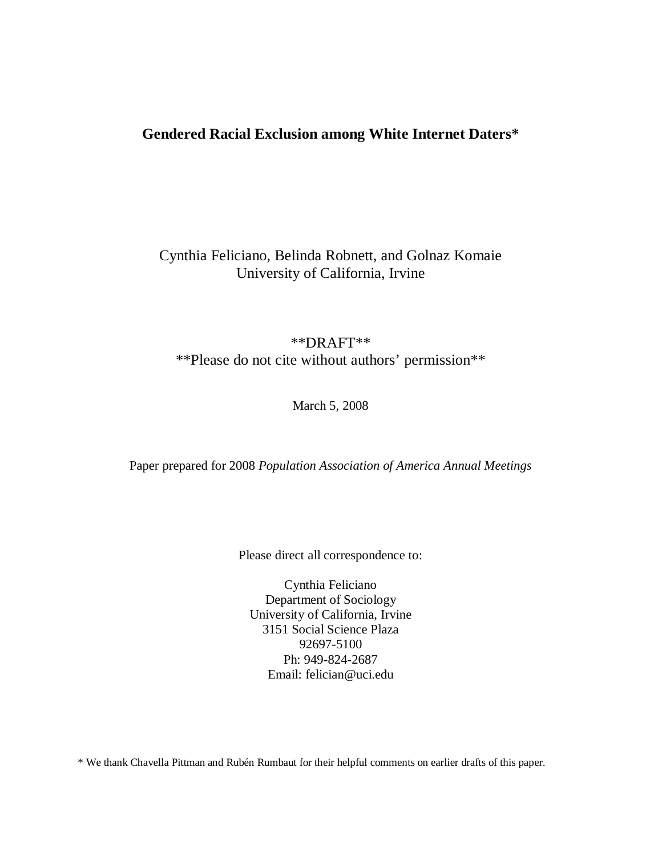# **Gendered Racial Exclusion among White Internet Daters\***

# Cynthia Feliciano, Belinda Robnett, and Golnaz Komaie University of California, Irvine

# \*\*DRAFT\*\* \*\*Please do not cite without authors' permission\*\*

March 5, 2008

Paper prepared for 2008 *Population Association of America Annual Meetings*

Please direct all correspondence to:

Cynthia Feliciano Department of Sociology University of California, Irvine 3151 Social Science Plaza 92697-5100 Ph: 949-824-2687 Email: felician@uci.edu

\* We thank Chavella Pittman and Rubén Rumbaut for their helpful comments on earlier drafts of this paper.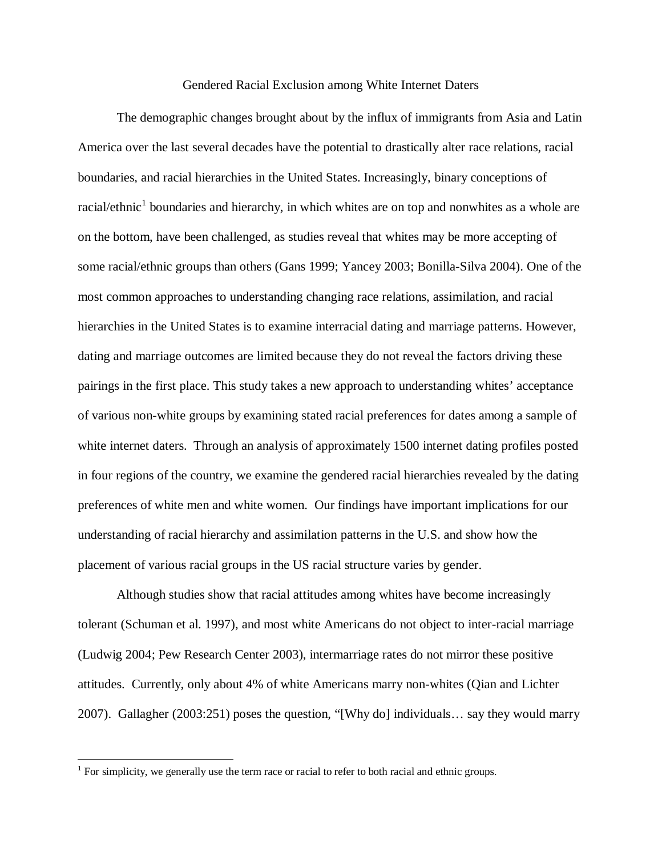### Gendered Racial Exclusion among White Internet Daters

The demographic changes brought about by the influx of immigrants from Asia and Latin America over the last several decades have the potential to drastically alter race relations, racial boundaries, and racial hierarchies in the United States. Increasingly, binary conceptions of racial/ethnic<sup>1</sup> boundaries and hierarchy, in which whites are on top and nonwhites as a whole are on the bottom, have been challenged, as studies reveal that whites may be more accepting of some racial/ethnic groups than others (Gans 1999; Yancey 2003; Bonilla-Silva 2004). One of the most common approaches to understanding changing race relations, assimilation, and racial hierarchies in the United States is to examine interracial dating and marriage patterns. However, dating and marriage outcomes are limited because they do not reveal the factors driving these pairings in the first place. This study takes a new approach to understanding whites' acceptance of various non-white groups by examining stated racial preferences for dates among a sample of white internet daters. Through an analysis of approximately 1500 internet dating profiles posted in four regions of the country, we examine the gendered racial hierarchies revealed by the dating preferences of white men and white women. Our findings have important implications for our understanding of racial hierarchy and assimilation patterns in the U.S. and show how the placement of various racial groups in the US racial structure varies by gender.

Although studies show that racial attitudes among whites have become increasingly tolerant (Schuman et al. 1997), and most white Americans do not object to inter-racial marriage (Ludwig 2004; Pew Research Center 2003), intermarriage rates do not mirror these positive attitudes. Currently, only about 4% of white Americans marry non-whites (Qian and Lichter 2007). Gallagher (2003:251) poses the question, "[Why do] individuals… say they would marry

 $\overline{a}$ 

 $<sup>1</sup>$  For simplicity, we generally use the term race or racial to refer to both racial and ethnic groups.</sup>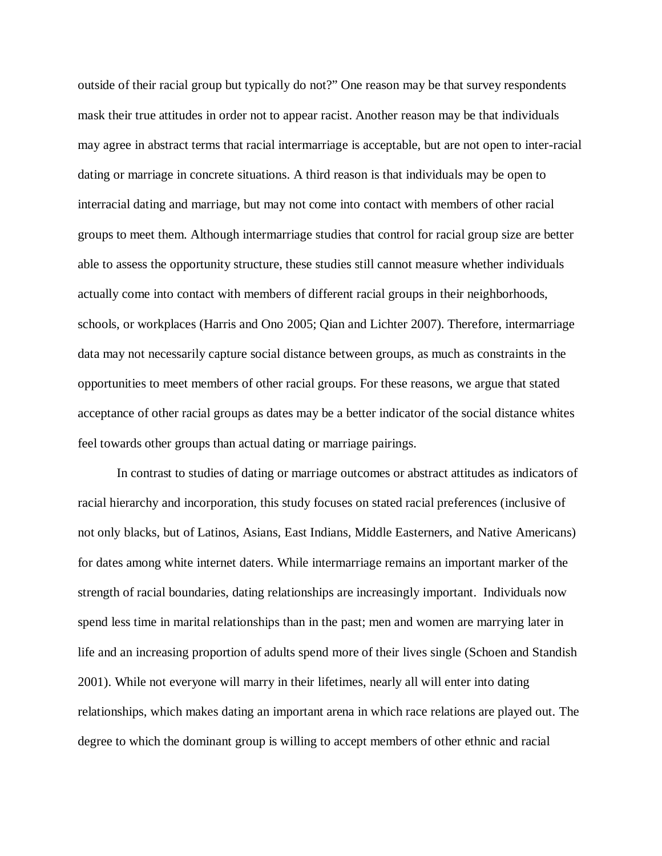outside of their racial group but typically do not?" One reason may be that survey respondents mask their true attitudes in order not to appear racist. Another reason may be that individuals may agree in abstract terms that racial intermarriage is acceptable, but are not open to inter-racial dating or marriage in concrete situations. A third reason is that individuals may be open to interracial dating and marriage, but may not come into contact with members of other racial groups to meet them. Although intermarriage studies that control for racial group size are better able to assess the opportunity structure, these studies still cannot measure whether individuals actually come into contact with members of different racial groups in their neighborhoods, schools, or workplaces (Harris and Ono 2005; Qian and Lichter 2007). Therefore, intermarriage data may not necessarily capture social distance between groups, as much as constraints in the opportunities to meet members of other racial groups. For these reasons, we argue that stated acceptance of other racial groups as dates may be a better indicator of the social distance whites feel towards other groups than actual dating or marriage pairings.

In contrast to studies of dating or marriage outcomes or abstract attitudes as indicators of racial hierarchy and incorporation, this study focuses on stated racial preferences (inclusive of not only blacks, but of Latinos, Asians, East Indians, Middle Easterners, and Native Americans) for dates among white internet daters. While intermarriage remains an important marker of the strength of racial boundaries, dating relationships are increasingly important. Individuals now spend less time in marital relationships than in the past; men and women are marrying later in life and an increasing proportion of adults spend more of their lives single (Schoen and Standish 2001). While not everyone will marry in their lifetimes, nearly all will enter into dating relationships, which makes dating an important arena in which race relations are played out. The degree to which the dominant group is willing to accept members of other ethnic and racial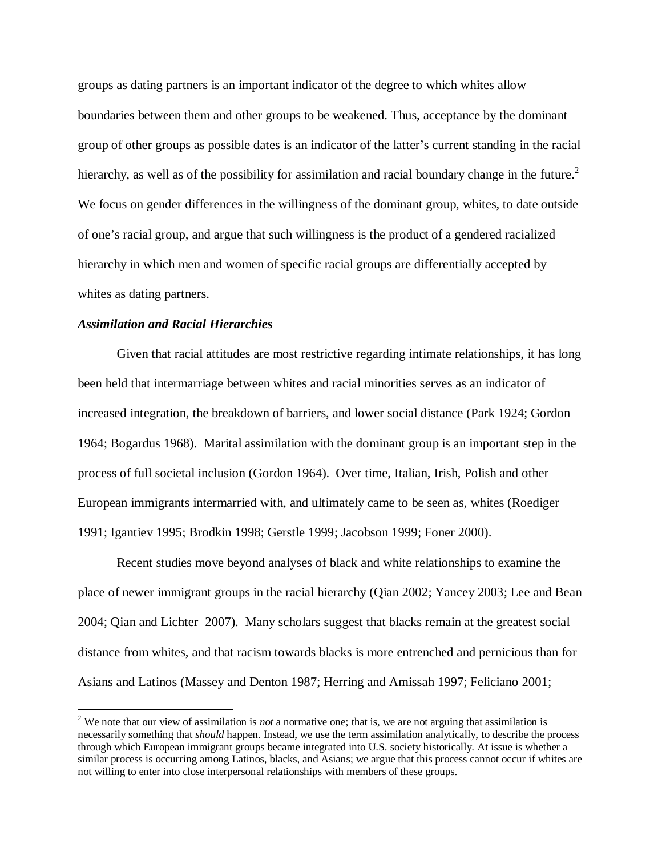groups as dating partners is an important indicator of the degree to which whites allow boundaries between them and other groups to be weakened. Thus, acceptance by the dominant group of other groups as possible dates is an indicator of the latter's current standing in the racial hierarchy, as well as of the possibility for assimilation and racial boundary change in the future.<sup>2</sup> We focus on gender differences in the willingness of the dominant group, whites, to date outside of one's racial group, and argue that such willingness is the product of a gendered racialized hierarchy in which men and women of specific racial groups are differentially accepted by whites as dating partners.

## *Assimilation and Racial Hierarchies*

Given that racial attitudes are most restrictive regarding intimate relationships, it has long been held that intermarriage between whites and racial minorities serves as an indicator of increased integration, the breakdown of barriers, and lower social distance (Park 1924; Gordon 1964; Bogardus 1968). Marital assimilation with the dominant group is an important step in the process of full societal inclusion (Gordon 1964). Over time, Italian, Irish, Polish and other European immigrants intermarried with, and ultimately came to be seen as, whites (Roediger 1991; Igantiev 1995; Brodkin 1998; Gerstle 1999; Jacobson 1999; Foner 2000).

Recent studies move beyond analyses of black and white relationships to examine the place of newer immigrant groups in the racial hierarchy (Qian 2002; Yancey 2003; Lee and Bean 2004; Qian and Lichter 2007). Many scholars suggest that blacks remain at the greatest social distance from whites, and that racism towards blacks is more entrenched and pernicious than for Asians and Latinos (Massey and Denton 1987; Herring and Amissah 1997; Feliciano 2001;

<sup>&</sup>lt;sup>2</sup> We note that our view of assimilation is *not* a normative one; that is, we are not arguing that assimilation is necessarily something that *should* happen. Instead, we use the term assimilation analytically, to describe the process through which European immigrant groups became integrated into U.S. society historically. At issue is whether a similar process is occurring among Latinos, blacks, and Asians; we argue that this process cannot occur if whites are not willing to enter into close interpersonal relationships with members of these groups.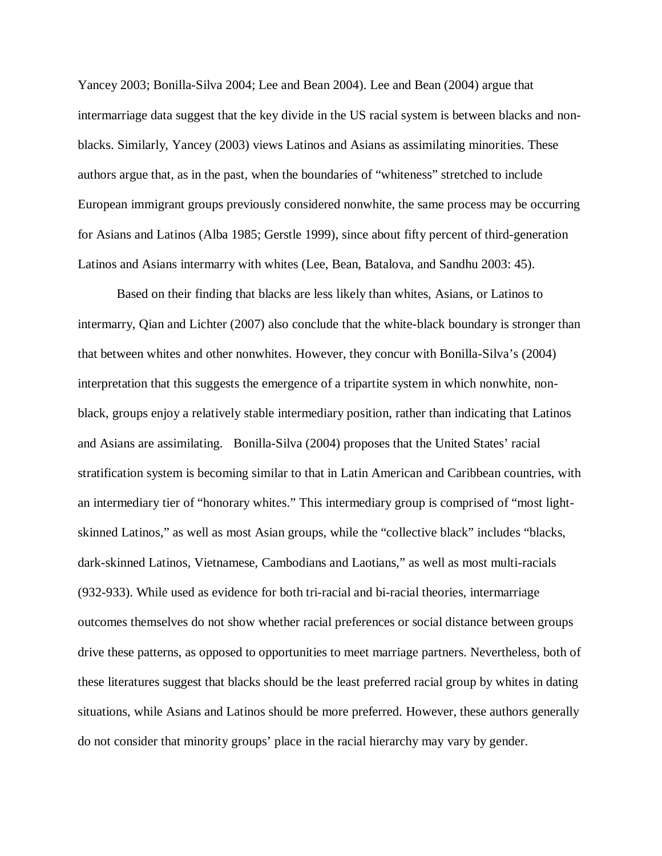Yancey 2003; Bonilla-Silva 2004; Lee and Bean 2004). Lee and Bean (2004) argue that intermarriage data suggest that the key divide in the US racial system is between blacks and nonblacks. Similarly, Yancey (2003) views Latinos and Asians as assimilating minorities. These authors argue that, as in the past, when the boundaries of "whiteness" stretched to include European immigrant groups previously considered nonwhite, the same process may be occurring for Asians and Latinos (Alba 1985; Gerstle 1999), since about fifty percent of third-generation Latinos and Asians intermarry with whites (Lee, Bean, Batalova, and Sandhu 2003: 45).

Based on their finding that blacks are less likely than whites, Asians, or Latinos to intermarry, Qian and Lichter (2007) also conclude that the white-black boundary is stronger than that between whites and other nonwhites. However, they concur with Bonilla-Silva's (2004) interpretation that this suggests the emergence of a tripartite system in which nonwhite, nonblack, groups enjoy a relatively stable intermediary position, rather than indicating that Latinos and Asians are assimilating. Bonilla-Silva (2004) proposes that the United States' racial stratification system is becoming similar to that in Latin American and Caribbean countries, with an intermediary tier of "honorary whites." This intermediary group is comprised of "most lightskinned Latinos," as well as most Asian groups, while the "collective black" includes "blacks, dark-skinned Latinos, Vietnamese, Cambodians and Laotians," as well as most multi-racials (932-933). While used as evidence for both tri-racial and bi-racial theories, intermarriage outcomes themselves do not show whether racial preferences or social distance between groups drive these patterns, as opposed to opportunities to meet marriage partners. Nevertheless, both of these literatures suggest that blacks should be the least preferred racial group by whites in dating situations, while Asians and Latinos should be more preferred. However, these authors generally do not consider that minority groups' place in the racial hierarchy may vary by gender.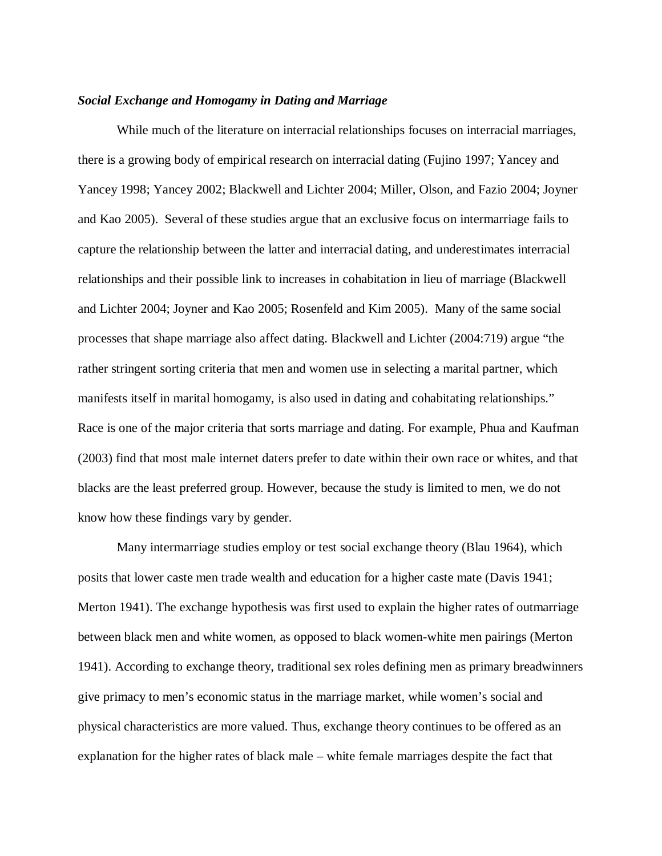# *Social Exchange and Homogamy in Dating and Marriage*

While much of the literature on interracial relationships focuses on interracial marriages, there is a growing body of empirical research on interracial dating (Fujino 1997; Yancey and Yancey 1998; Yancey 2002; Blackwell and Lichter 2004; Miller, Olson, and Fazio 2004; Joyner and Kao 2005). Several of these studies argue that an exclusive focus on intermarriage fails to capture the relationship between the latter and interracial dating, and underestimates interracial relationships and their possible link to increases in cohabitation in lieu of marriage (Blackwell and Lichter 2004; Joyner and Kao 2005; Rosenfeld and Kim 2005). Many of the same social processes that shape marriage also affect dating. Blackwell and Lichter (2004:719) argue "the rather stringent sorting criteria that men and women use in selecting a marital partner, which manifests itself in marital homogamy, is also used in dating and cohabitating relationships." Race is one of the major criteria that sorts marriage and dating. For example, Phua and Kaufman (2003) find that most male internet daters prefer to date within their own race or whites, and that blacks are the least preferred group. However, because the study is limited to men, we do not know how these findings vary by gender.

Many intermarriage studies employ or test social exchange theory (Blau 1964), which posits that lower caste men trade wealth and education for a higher caste mate (Davis 1941; Merton 1941). The exchange hypothesis was first used to explain the higher rates of outmarriage between black men and white women, as opposed to black women-white men pairings (Merton 1941). According to exchange theory, traditional sex roles defining men as primary breadwinners give primacy to men's economic status in the marriage market, while women's social and physical characteristics are more valued. Thus, exchange theory continues to be offered as an explanation for the higher rates of black male – white female marriages despite the fact that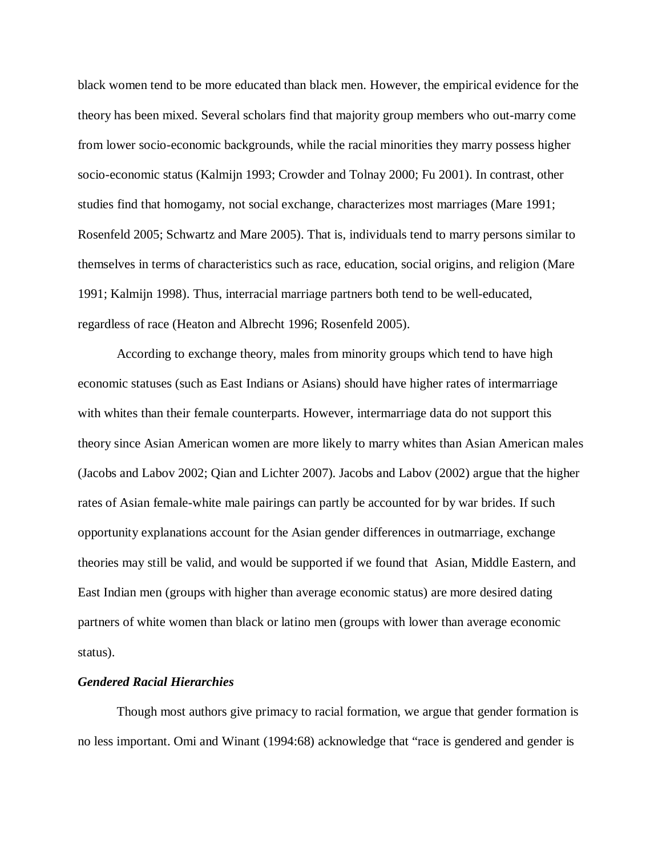black women tend to be more educated than black men. However, the empirical evidence for the theory has been mixed. Several scholars find that majority group members who out-marry come from lower socio-economic backgrounds, while the racial minorities they marry possess higher socio-economic status (Kalmijn 1993; Crowder and Tolnay 2000; Fu 2001). In contrast, other studies find that homogamy, not social exchange, characterizes most marriages (Mare 1991; Rosenfeld 2005; Schwartz and Mare 2005). That is, individuals tend to marry persons similar to themselves in terms of characteristics such as race, education, social origins, and religion (Mare 1991; Kalmijn 1998). Thus, interracial marriage partners both tend to be well-educated, regardless of race (Heaton and Albrecht 1996; Rosenfeld 2005).

According to exchange theory, males from minority groups which tend to have high economic statuses (such as East Indians or Asians) should have higher rates of intermarriage with whites than their female counterparts. However, intermarriage data do not support this theory since Asian American women are more likely to marry whites than Asian American males (Jacobs and Labov 2002; Qian and Lichter 2007). Jacobs and Labov (2002) argue that the higher rates of Asian female-white male pairings can partly be accounted for by war brides. If such opportunity explanations account for the Asian gender differences in outmarriage, exchange theories may still be valid, and would be supported if we found that Asian, Middle Eastern, and East Indian men (groups with higher than average economic status) are more desired dating partners of white women than black or latino men (groups with lower than average economic status).

## *Gendered Racial Hierarchies*

Though most authors give primacy to racial formation, we argue that gender formation is no less important. Omi and Winant (1994:68) acknowledge that "race is gendered and gender is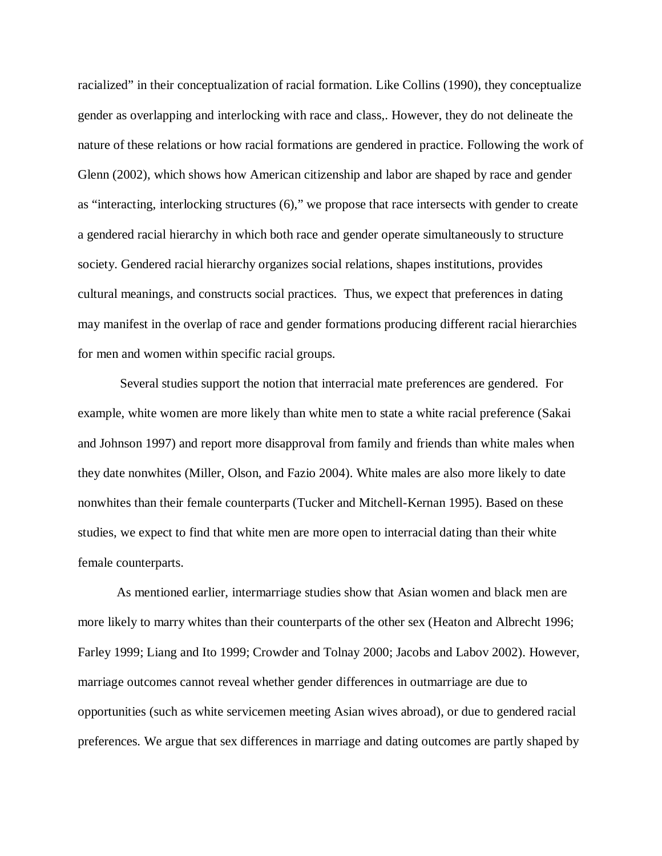racialized" in their conceptualization of racial formation. Like Collins (1990), they conceptualize gender as overlapping and interlocking with race and class,. However, they do not delineate the nature of these relations or how racial formations are gendered in practice. Following the work of Glenn (2002), which shows how American citizenship and labor are shaped by race and gender as "interacting, interlocking structures (6)," we propose that race intersects with gender to create a gendered racial hierarchy in which both race and gender operate simultaneously to structure society. Gendered racial hierarchy organizes social relations, shapes institutions, provides cultural meanings, and constructs social practices. Thus, we expect that preferences in dating may manifest in the overlap of race and gender formations producing different racial hierarchies for men and women within specific racial groups.

Several studies support the notion that interracial mate preferences are gendered. For example, white women are more likely than white men to state a white racial preference (Sakai and Johnson 1997) and report more disapproval from family and friends than white males when they date nonwhites (Miller, Olson, and Fazio 2004). White males are also more likely to date nonwhites than their female counterparts (Tucker and Mitchell-Kernan 1995). Based on these studies, we expect to find that white men are more open to interracial dating than their white female counterparts.

As mentioned earlier, intermarriage studies show that Asian women and black men are more likely to marry whites than their counterparts of the other sex (Heaton and Albrecht 1996; Farley 1999; Liang and Ito 1999; Crowder and Tolnay 2000; Jacobs and Labov 2002). However, marriage outcomes cannot reveal whether gender differences in outmarriage are due to opportunities (such as white servicemen meeting Asian wives abroad), or due to gendered racial preferences. We argue that sex differences in marriage and dating outcomes are partly shaped by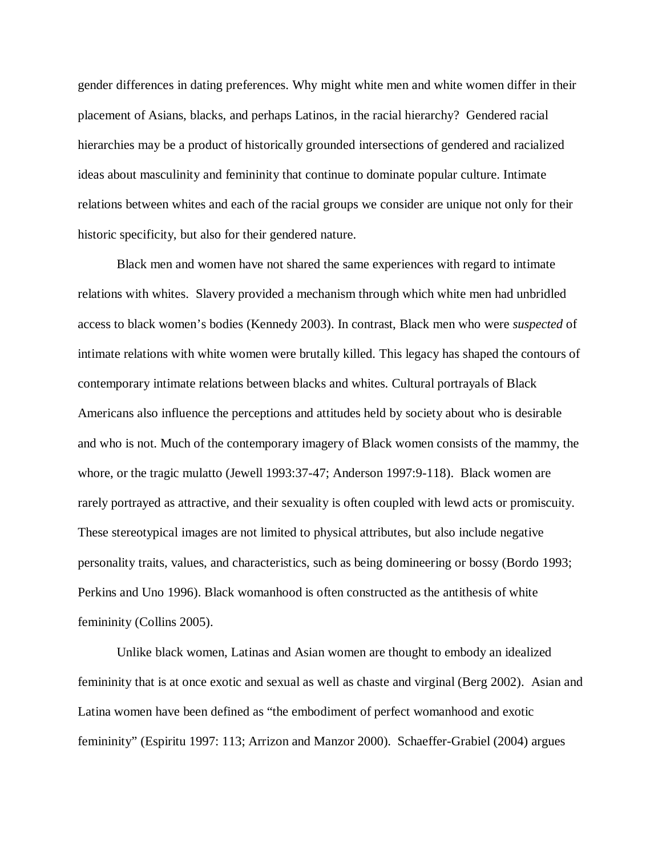gender differences in dating preferences. Why might white men and white women differ in their placement of Asians, blacks, and perhaps Latinos, in the racial hierarchy? Gendered racial hierarchies may be a product of historically grounded intersections of gendered and racialized ideas about masculinity and femininity that continue to dominate popular culture. Intimate relations between whites and each of the racial groups we consider are unique not only for their historic specificity, but also for their gendered nature.

Black men and women have not shared the same experiences with regard to intimate relations with whites. Slavery provided a mechanism through which white men had unbridled access to black women's bodies (Kennedy 2003). In contrast, Black men who were *suspected* of intimate relations with white women were brutally killed. This legacy has shaped the contours of contemporary intimate relations between blacks and whites. Cultural portrayals of Black Americans also influence the perceptions and attitudes held by society about who is desirable and who is not. Much of the contemporary imagery of Black women consists of the mammy, the whore, or the tragic mulatto (Jewell 1993:37-47; Anderson 1997:9-118). Black women are rarely portrayed as attractive, and their sexuality is often coupled with lewd acts or promiscuity. These stereotypical images are not limited to physical attributes, but also include negative personality traits, values, and characteristics, such as being domineering or bossy (Bordo 1993; Perkins and Uno 1996). Black womanhood is often constructed as the antithesis of white femininity (Collins 2005).

Unlike black women, Latinas and Asian women are thought to embody an idealized femininity that is at once exotic and sexual as well as chaste and virginal (Berg 2002). Asian and Latina women have been defined as "the embodiment of perfect womanhood and exotic femininity" (Espiritu 1997: 113; Arrizon and Manzor 2000). Schaeffer-Grabiel (2004) argues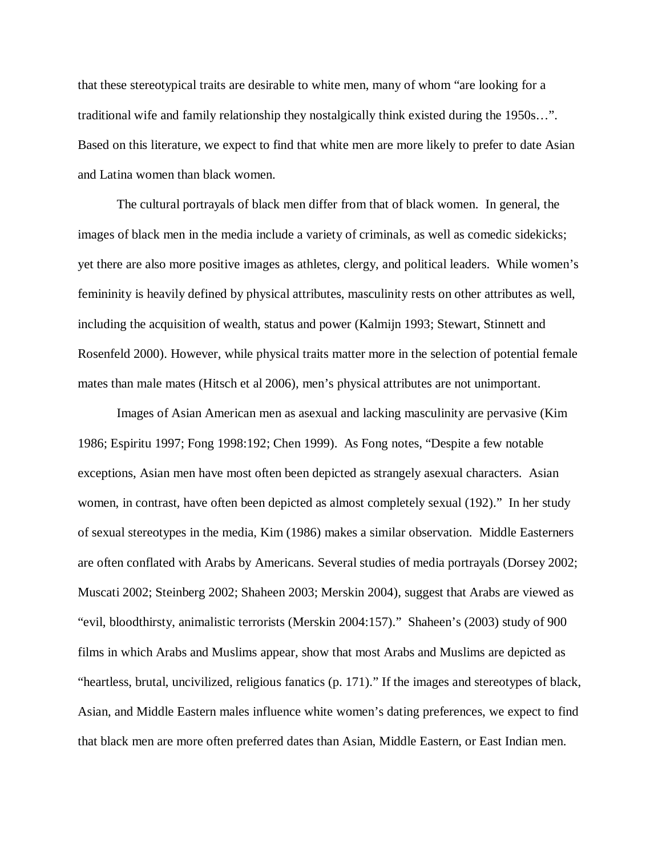that these stereotypical traits are desirable to white men, many of whom "are looking for a traditional wife and family relationship they nostalgically think existed during the 1950s…". Based on this literature, we expect to find that white men are more likely to prefer to date Asian and Latina women than black women.

The cultural portrayals of black men differ from that of black women. In general, the images of black men in the media include a variety of criminals, as well as comedic sidekicks; yet there are also more positive images as athletes, clergy, and political leaders. While women's femininity is heavily defined by physical attributes, masculinity rests on other attributes as well, including the acquisition of wealth, status and power (Kalmijn 1993; Stewart, Stinnett and Rosenfeld 2000). However, while physical traits matter more in the selection of potential female mates than male mates (Hitsch et al 2006), men's physical attributes are not unimportant.

Images of Asian American men as asexual and lacking masculinity are pervasive (Kim 1986; Espiritu 1997; Fong 1998:192; Chen 1999). As Fong notes, "Despite a few notable exceptions, Asian men have most often been depicted as strangely asexual characters. Asian women, in contrast, have often been depicted as almost completely sexual (192)." In her study of sexual stereotypes in the media, Kim (1986) makes a similar observation. Middle Easterners are often conflated with Arabs by Americans. Several studies of media portrayals (Dorsey 2002; Muscati 2002; Steinberg 2002; Shaheen 2003; Merskin 2004), suggest that Arabs are viewed as "evil, bloodthirsty, animalistic terrorists (Merskin 2004:157)." Shaheen's (2003) study of 900 films in which Arabs and Muslims appear, show that most Arabs and Muslims are depicted as "heartless, brutal, uncivilized, religious fanatics (p. 171)." If the images and stereotypes of black, Asian, and Middle Eastern males influence white women's dating preferences, we expect to find that black men are more often preferred dates than Asian, Middle Eastern, or East Indian men.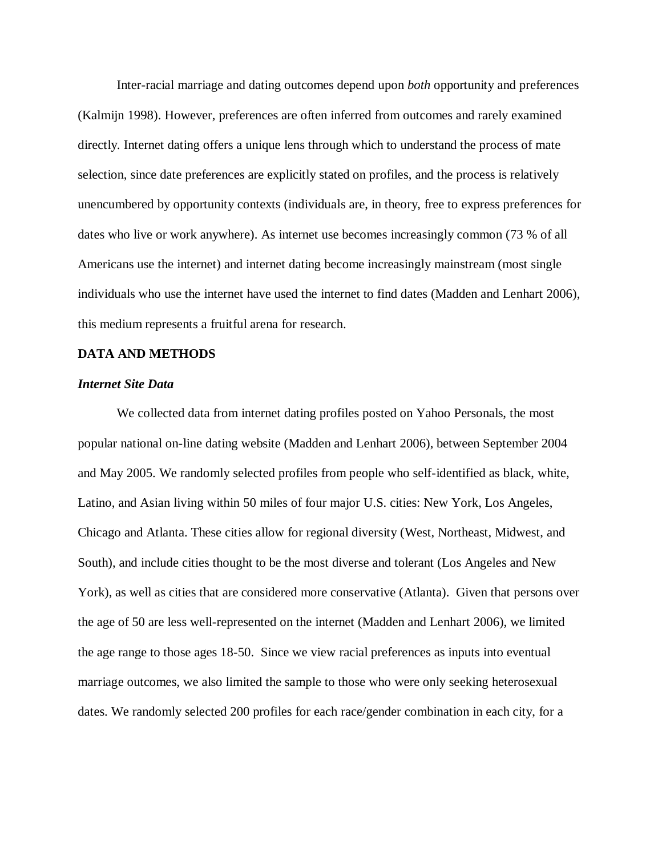Inter-racial marriage and dating outcomes depend upon *both* opportunity and preferences (Kalmijn 1998). However, preferences are often inferred from outcomes and rarely examined directly. Internet dating offers a unique lens through which to understand the process of mate selection, since date preferences are explicitly stated on profiles, and the process is relatively unencumbered by opportunity contexts (individuals are, in theory, free to express preferences for dates who live or work anywhere). As internet use becomes increasingly common (73 % of all Americans use the internet) and internet dating become increasingly mainstream (most single individuals who use the internet have used the internet to find dates (Madden and Lenhart 2006), this medium represents a fruitful arena for research.

## **DATA AND METHODS**

## *Internet Site Data*

We collected data from internet dating profiles posted on Yahoo Personals, the most popular national on-line dating website (Madden and Lenhart 2006), between September 2004 and May 2005. We randomly selected profiles from people who self-identified as black, white, Latino, and Asian living within 50 miles of four major U.S. cities: New York, Los Angeles, Chicago and Atlanta. These cities allow for regional diversity (West, Northeast, Midwest, and South), and include cities thought to be the most diverse and tolerant (Los Angeles and New York), as well as cities that are considered more conservative (Atlanta). Given that persons over the age of 50 are less well-represented on the internet (Madden and Lenhart 2006), we limited the age range to those ages 18-50. Since we view racial preferences as inputs into eventual marriage outcomes, we also limited the sample to those who were only seeking heterosexual dates. We randomly selected 200 profiles for each race/gender combination in each city, for a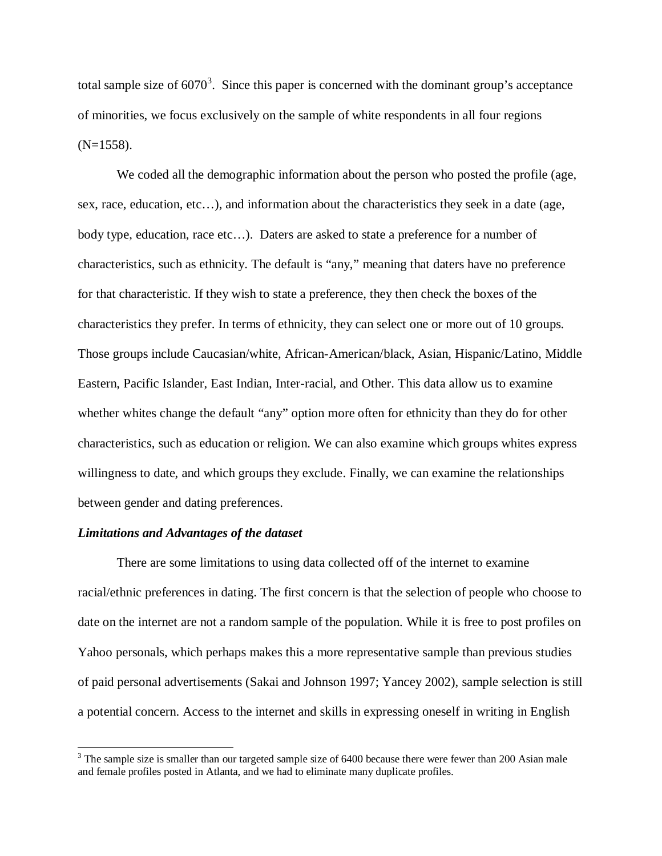total sample size of  $6070<sup>3</sup>$ . Since this paper is concerned with the dominant group's acceptance of minorities, we focus exclusively on the sample of white respondents in all four regions  $(N=1558)$ .

We coded all the demographic information about the person who posted the profile (age, sex, race, education, etc…), and information about the characteristics they seek in a date (age, body type, education, race etc...). Daters are asked to state a preference for a number of characteristics, such as ethnicity. The default is "any," meaning that daters have no preference for that characteristic. If they wish to state a preference, they then check the boxes of the characteristics they prefer. In terms of ethnicity, they can select one or more out of 10 groups. Those groups include Caucasian/white, African-American/black, Asian, Hispanic/Latino, Middle Eastern, Pacific Islander, East Indian, Inter-racial, and Other. This data allow us to examine whether whites change the default "any" option more often for ethnicity than they do for other characteristics, such as education or religion. We can also examine which groups whites express willingness to date, and which groups they exclude. Finally, we can examine the relationships between gender and dating preferences.

### *Limitations and Advantages of the dataset*

There are some limitations to using data collected off of the internet to examine racial/ethnic preferences in dating. The first concern is that the selection of people who choose to date on the internet are not a random sample of the population. While it is free to post profiles on Yahoo personals, which perhaps makes this a more representative sample than previous studies of paid personal advertisements (Sakai and Johnson 1997; Yancey 2002), sample selection is still a potential concern. Access to the internet and skills in expressing oneself in writing in English

<sup>&</sup>lt;sup>3</sup> The sample size is smaller than our targeted sample size of 6400 because there were fewer than 200 Asian male and female profiles posted in Atlanta, and we had to eliminate many duplicate profiles.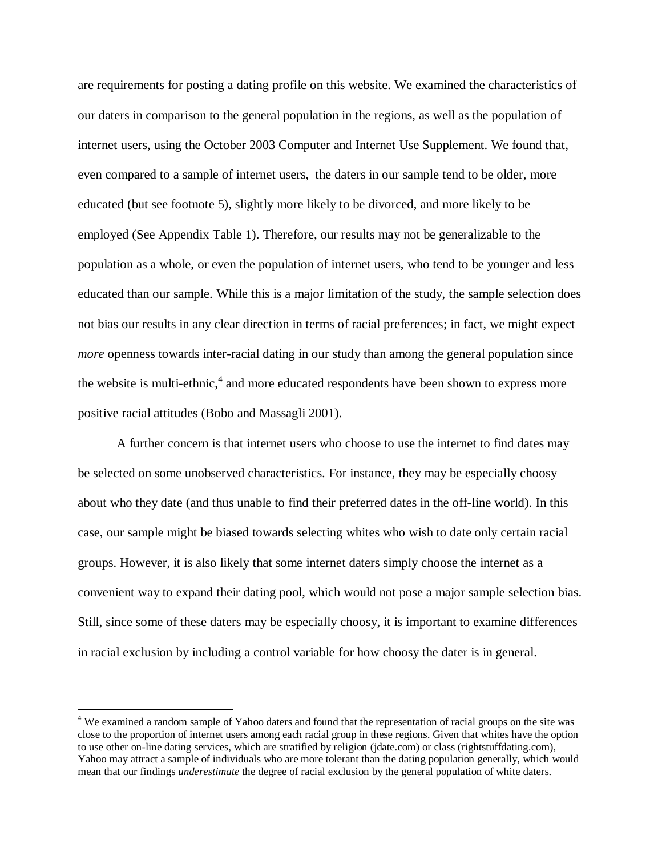are requirements for posting a dating profile on this website. We examined the characteristics of our daters in comparison to the general population in the regions, as well as the population of internet users, using the October 2003 Computer and Internet Use Supplement. We found that, even compared to a sample of internet users, the daters in our sample tend to be older, more educated (but see footnote 5), slightly more likely to be divorced, and more likely to be employed (See Appendix Table 1). Therefore, our results may not be generalizable to the population as a whole, or even the population of internet users, who tend to be younger and less educated than our sample. While this is a major limitation of the study, the sample selection does not bias our results in any clear direction in terms of racial preferences; in fact, we might expect *more* openness towards inter-racial dating in our study than among the general population since the website is multi-ethnic,<sup>4</sup> and more educated respondents have been shown to express more positive racial attitudes (Bobo and Massagli 2001).

A further concern is that internet users who choose to use the internet to find dates may be selected on some unobserved characteristics. For instance, they may be especially choosy about who they date (and thus unable to find their preferred dates in the off-line world). In this case, our sample might be biased towards selecting whites who wish to date only certain racial groups. However, it is also likely that some internet daters simply choose the internet as a convenient way to expand their dating pool, which would not pose a major sample selection bias. Still, since some of these daters may be especially choosy, it is important to examine differences in racial exclusion by including a control variable for how choosy the dater is in general.

 $\overline{a}$ 

<sup>&</sup>lt;sup>4</sup> We examined a random sample of Yahoo daters and found that the representation of racial groups on the site was close to the proportion of internet users among each racial group in these regions. Given that whites have the option to use other on-line dating services, which are stratified by religion (jdate.com) or class (rightstuffdating.com), Yahoo may attract a sample of individuals who are more tolerant than the dating population generally, which would mean that our findings *underestimate* the degree of racial exclusion by the general population of white daters.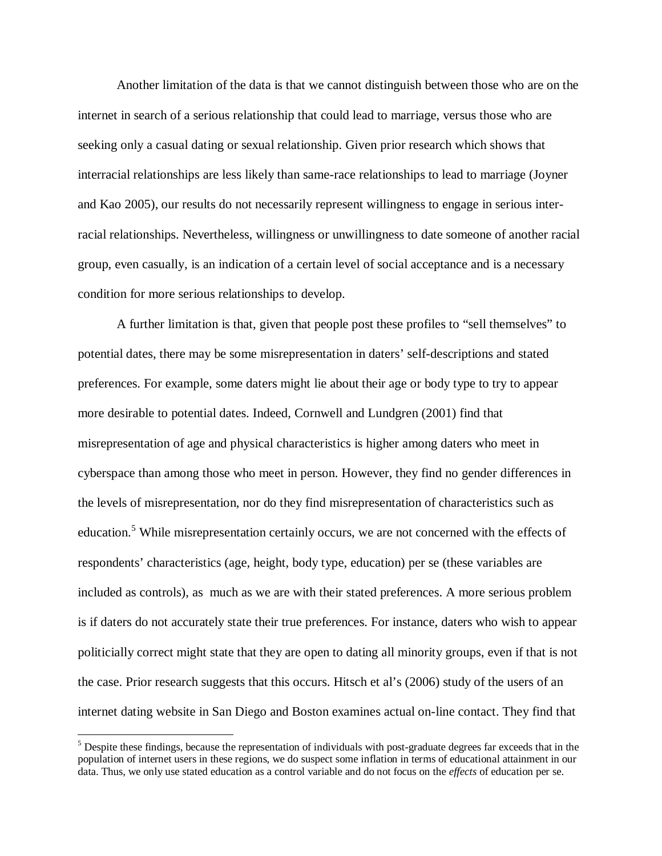Another limitation of the data is that we cannot distinguish between those who are on the internet in search of a serious relationship that could lead to marriage, versus those who are seeking only a casual dating or sexual relationship. Given prior research which shows that interracial relationships are less likely than same-race relationships to lead to marriage (Joyner and Kao 2005), our results do not necessarily represent willingness to engage in serious interracial relationships. Nevertheless, willingness or unwillingness to date someone of another racial group, even casually, is an indication of a certain level of social acceptance and is a necessary condition for more serious relationships to develop.

A further limitation is that, given that people post these profiles to "sell themselves" to potential dates, there may be some misrepresentation in daters' self-descriptions and stated preferences. For example, some daters might lie about their age or body type to try to appear more desirable to potential dates. Indeed, Cornwell and Lundgren (2001) find that misrepresentation of age and physical characteristics is higher among daters who meet in cyberspace than among those who meet in person. However, they find no gender differences in the levels of misrepresentation, nor do they find misrepresentation of characteristics such as education.<sup>5</sup> While misrepresentation certainly occurs, we are not concerned with the effects of respondents' characteristics (age, height, body type, education) per se (these variables are included as controls), as much as we are with their stated preferences. A more serious problem is if daters do not accurately state their true preferences. For instance, daters who wish to appear politicially correct might state that they are open to dating all minority groups, even if that is not the case. Prior research suggests that this occurs. Hitsch et al's (2006) study of the users of an internet dating website in San Diego and Boston examines actual on-line contact. They find that

 $\overline{a}$ 

 $<sup>5</sup>$  Despite these findings, because the representation of individuals with post-graduate degrees far exceeds that in the</sup> population of internet users in these regions, we do suspect some inflation in terms of educational attainment in our data. Thus, we only use stated education as a control variable and do not focus on the *effects* of education per se.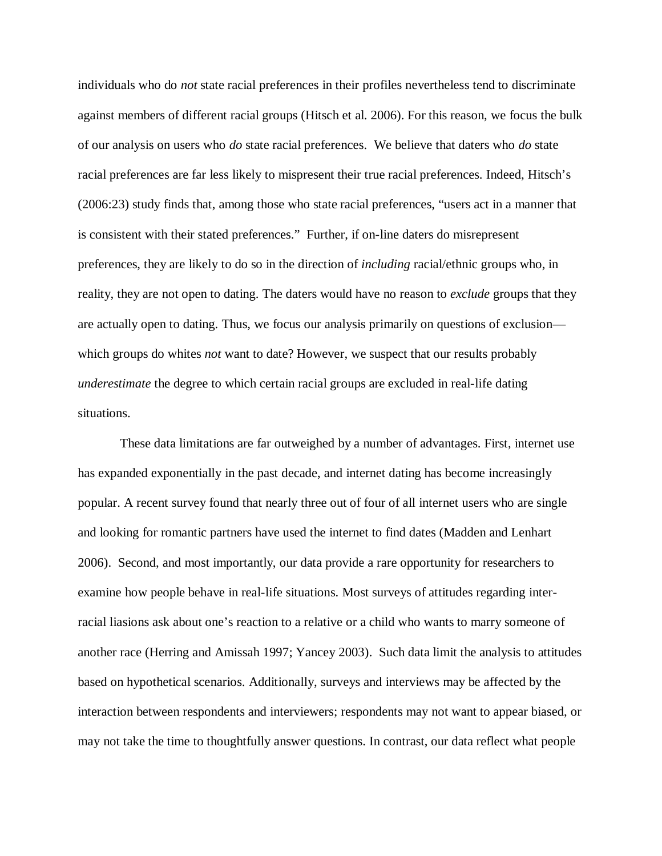individuals who do *not* state racial preferences in their profiles nevertheless tend to discriminate against members of different racial groups (Hitsch et al. 2006). For this reason, we focus the bulk of our analysis on users who *do* state racial preferences. We believe that daters who *do* state racial preferences are far less likely to mispresent their true racial preferences. Indeed, Hitsch's (2006:23) study finds that, among those who state racial preferences, "users act in a manner that is consistent with their stated preferences." Further, if on-line daters do misrepresent preferences, they are likely to do so in the direction of *including* racial/ethnic groups who, in reality, they are not open to dating. The daters would have no reason to *exclude* groups that they are actually open to dating. Thus, we focus our analysis primarily on questions of exclusion which groups do whites *not* want to date? However, we suspect that our results probably *underestimate* the degree to which certain racial groups are excluded in real-life dating situations.

 These data limitations are far outweighed by a number of advantages. First, internet use has expanded exponentially in the past decade, and internet dating has become increasingly popular. A recent survey found that nearly three out of four of all internet users who are single and looking for romantic partners have used the internet to find dates (Madden and Lenhart 2006). Second, and most importantly, our data provide a rare opportunity for researchers to examine how people behave in real-life situations. Most surveys of attitudes regarding interracial liasions ask about one's reaction to a relative or a child who wants to marry someone of another race (Herring and Amissah 1997; Yancey 2003). Such data limit the analysis to attitudes based on hypothetical scenarios. Additionally, surveys and interviews may be affected by the interaction between respondents and interviewers; respondents may not want to appear biased, or may not take the time to thoughtfully answer questions. In contrast, our data reflect what people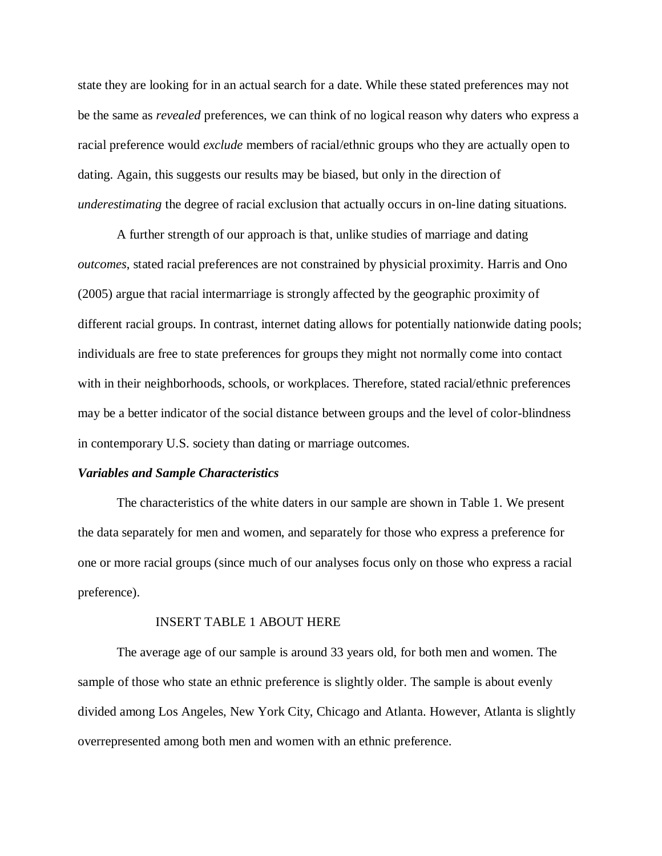state they are looking for in an actual search for a date. While these stated preferences may not be the same as *revealed* preferences, we can think of no logical reason why daters who express a racial preference would *exclude* members of racial/ethnic groups who they are actually open to dating. Again, this suggests our results may be biased, but only in the direction of *underestimating* the degree of racial exclusion that actually occurs in on-line dating situations.

A further strength of our approach is that, unlike studies of marriage and dating *outcomes*, stated racial preferences are not constrained by physicial proximity. Harris and Ono (2005) argue that racial intermarriage is strongly affected by the geographic proximity of different racial groups. In contrast, internet dating allows for potentially nationwide dating pools; individuals are free to state preferences for groups they might not normally come into contact with in their neighborhoods, schools, or workplaces. Therefore, stated racial/ethnic preferences may be a better indicator of the social distance between groups and the level of color-blindness in contemporary U.S. society than dating or marriage outcomes.

# *Variables and Sample Characteristics*

The characteristics of the white daters in our sample are shown in Table 1. We present the data separately for men and women, and separately for those who express a preference for one or more racial groups (since much of our analyses focus only on those who express a racial preference).

#### INSERT TABLE 1 ABOUT HERE

The average age of our sample is around 33 years old, for both men and women. The sample of those who state an ethnic preference is slightly older. The sample is about evenly divided among Los Angeles, New York City, Chicago and Atlanta. However, Atlanta is slightly overrepresented among both men and women with an ethnic preference.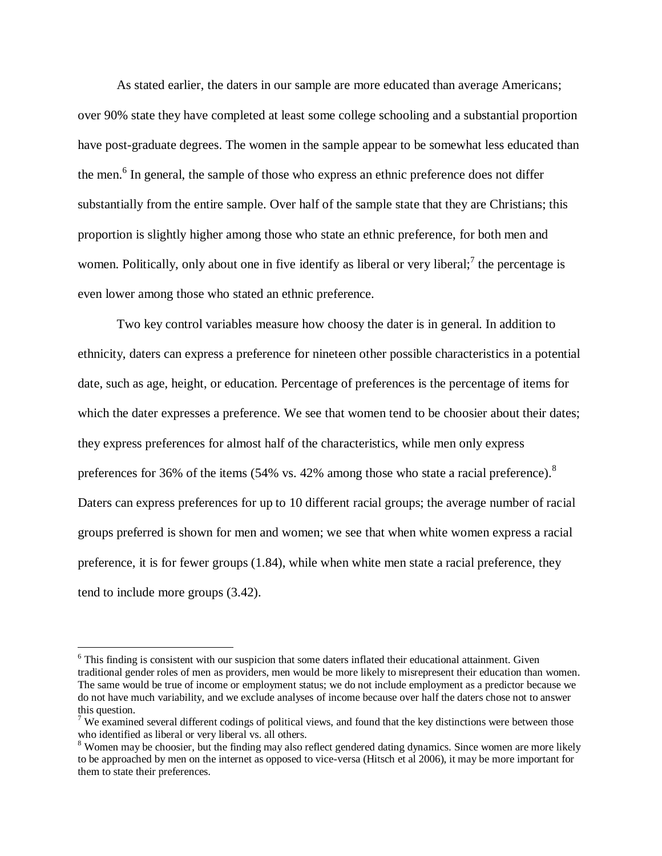As stated earlier, the daters in our sample are more educated than average Americans; over 90% state they have completed at least some college schooling and a substantial proportion have post-graduate degrees. The women in the sample appear to be somewhat less educated than the men.<sup>6</sup> In general, the sample of those who express an ethnic preference does not differ substantially from the entire sample. Over half of the sample state that they are Christians; this proportion is slightly higher among those who state an ethnic preference, for both men and women. Politically, only about one in five identify as liberal or very liberal;<sup>7</sup> the percentage is even lower among those who stated an ethnic preference.

Two key control variables measure how choosy the dater is in general. In addition to ethnicity, daters can express a preference for nineteen other possible characteristics in a potential date, such as age, height, or education. Percentage of preferences is the percentage of items for which the dater expresses a preference. We see that women tend to be choosier about their dates; they express preferences for almost half of the characteristics, while men only express preferences for 36% of the items (54% vs. 42% among those who state a racial preference).<sup>8</sup> Daters can express preferences for up to 10 different racial groups; the average number of racial groups preferred is shown for men and women; we see that when white women express a racial preference, it is for fewer groups (1.84), while when white men state a racial preference, they tend to include more groups (3.42).

 $\overline{a}$ 

<sup>&</sup>lt;sup>6</sup> This finding is consistent with our suspicion that some daters inflated their educational attainment. Given traditional gender roles of men as providers, men would be more likely to misrepresent their education than women. The same would be true of income or employment status; we do not include employment as a predictor because we do not have much variability, and we exclude analyses of income because over half the daters chose not to answer this question.

<sup>&</sup>lt;sup>7</sup> We examined several different codings of political views, and found that the key distinctions were between those who identified as liberal or very liberal vs. all others.

<sup>&</sup>lt;sup>8</sup> Women may be choosier, but the finding may also reflect gendered dating dynamics. Since women are more likely to be approached by men on the internet as opposed to vice-versa (Hitsch et al 2006), it may be more important for them to state their preferences.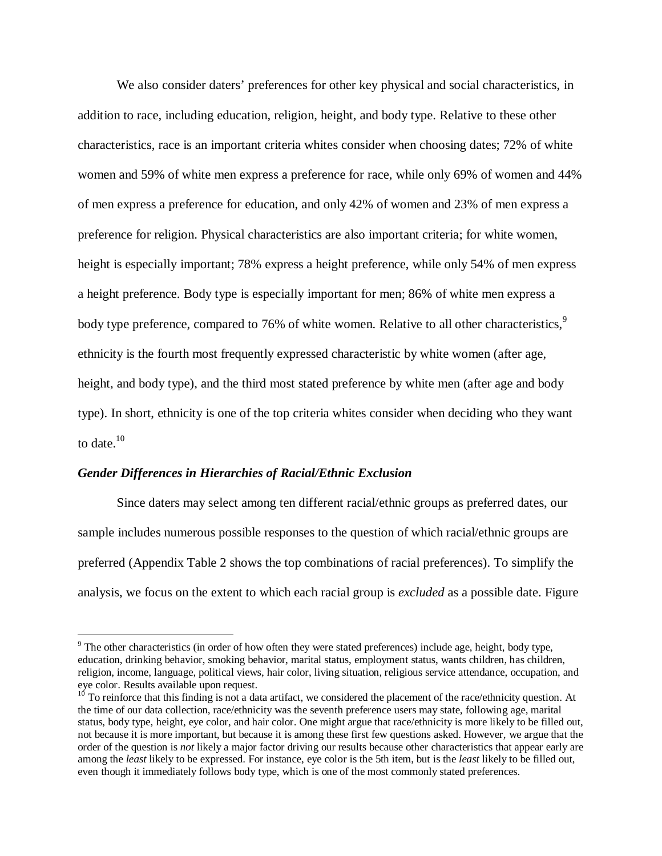We also consider daters' preferences for other key physical and social characteristics, in addition to race, including education, religion, height, and body type. Relative to these other characteristics, race is an important criteria whites consider when choosing dates; 72% of white women and 59% of white men express a preference for race, while only 69% of women and 44% of men express a preference for education, and only 42% of women and 23% of men express a preference for religion. Physical characteristics are also important criteria; for white women, height is especially important; 78% express a height preference, while only 54% of men express a height preference. Body type is especially important for men; 86% of white men express a body type preference, compared to 76% of white women. Relative to all other characteristics,<sup>9</sup> ethnicity is the fourth most frequently expressed characteristic by white women (after age, height, and body type), and the third most stated preference by white men (after age and body type). In short, ethnicity is one of the top criteria whites consider when deciding who they want to date. $10$ 

# *Gender Differences in Hierarchies of Racial/Ethnic Exclusion*

 $\overline{a}$ 

Since daters may select among ten different racial/ethnic groups as preferred dates, our sample includes numerous possible responses to the question of which racial/ethnic groups are preferred (Appendix Table 2 shows the top combinations of racial preferences). To simplify the analysis, we focus on the extent to which each racial group is *excluded* as a possible date. Figure

 $9$  The other characteristics (in order of how often they were stated preferences) include age, height, body type, education, drinking behavior, smoking behavior, marital status, employment status, wants children, has children, religion, income, language, political views, hair color, living situation, religious service attendance, occupation, and eye color. Results available upon request.

 $10$  To reinforce that this finding is not a data artifact, we considered the placement of the race/ethnicity question. At the time of our data collection, race/ethnicity was the seventh preference users may state, following age, marital status, body type, height, eye color, and hair color. One might argue that race/ethnicity is more likely to be filled out, not because it is more important, but because it is among these first few questions asked. However, we argue that the order of the question is *not* likely a major factor driving our results because other characteristics that appear early are among the *least* likely to be expressed. For instance, eye color is the 5th item, but is the *least* likely to be filled out, even though it immediately follows body type, which is one of the most commonly stated preferences.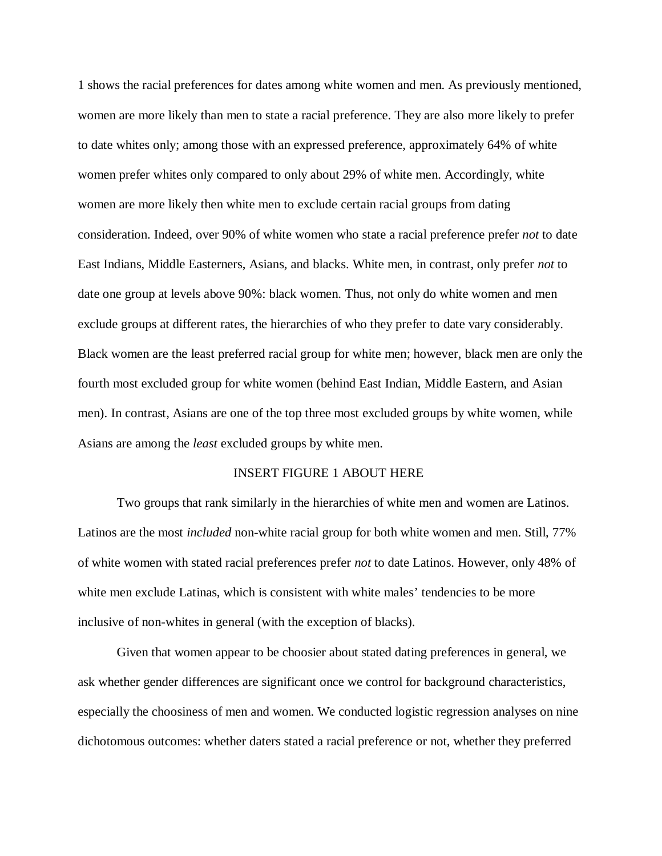1 shows the racial preferences for dates among white women and men. As previously mentioned, women are more likely than men to state a racial preference. They are also more likely to prefer to date whites only; among those with an expressed preference, approximately 64% of white women prefer whites only compared to only about 29% of white men. Accordingly, white women are more likely then white men to exclude certain racial groups from dating consideration. Indeed, over 90% of white women who state a racial preference prefer *not* to date East Indians, Middle Easterners, Asians, and blacks. White men, in contrast, only prefer *not* to date one group at levels above 90%: black women. Thus, not only do white women and men exclude groups at different rates, the hierarchies of who they prefer to date vary considerably. Black women are the least preferred racial group for white men; however, black men are only the fourth most excluded group for white women (behind East Indian, Middle Eastern, and Asian men). In contrast, Asians are one of the top three most excluded groups by white women, while Asians are among the *least* excluded groups by white men.

## INSERT FIGURE 1 ABOUT HERE

Two groups that rank similarly in the hierarchies of white men and women are Latinos. Latinos are the most *included* non-white racial group for both white women and men. Still, 77% of white women with stated racial preferences prefer *not* to date Latinos. However, only 48% of white men exclude Latinas, which is consistent with white males' tendencies to be more inclusive of non-whites in general (with the exception of blacks).

Given that women appear to be choosier about stated dating preferences in general, we ask whether gender differences are significant once we control for background characteristics, especially the choosiness of men and women. We conducted logistic regression analyses on nine dichotomous outcomes: whether daters stated a racial preference or not, whether they preferred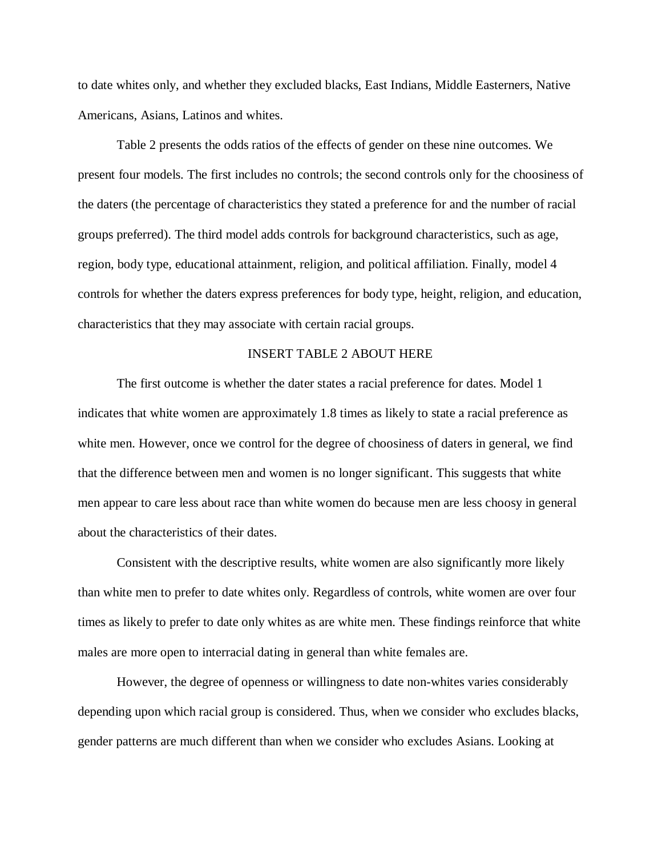to date whites only, and whether they excluded blacks, East Indians, Middle Easterners, Native Americans, Asians, Latinos and whites.

Table 2 presents the odds ratios of the effects of gender on these nine outcomes. We present four models. The first includes no controls; the second controls only for the choosiness of the daters (the percentage of characteristics they stated a preference for and the number of racial groups preferred). The third model adds controls for background characteristics, such as age, region, body type, educational attainment, religion, and political affiliation. Finally, model 4 controls for whether the daters express preferences for body type, height, religion, and education, characteristics that they may associate with certain racial groups.

# INSERT TABLE 2 ABOUT HERE

The first outcome is whether the dater states a racial preference for dates. Model 1 indicates that white women are approximately 1.8 times as likely to state a racial preference as white men. However, once we control for the degree of choosiness of daters in general, we find that the difference between men and women is no longer significant. This suggests that white men appear to care less about race than white women do because men are less choosy in general about the characteristics of their dates.

Consistent with the descriptive results, white women are also significantly more likely than white men to prefer to date whites only. Regardless of controls, white women are over four times as likely to prefer to date only whites as are white men. These findings reinforce that white males are more open to interracial dating in general than white females are.

However, the degree of openness or willingness to date non-whites varies considerably depending upon which racial group is considered. Thus, when we consider who excludes blacks, gender patterns are much different than when we consider who excludes Asians. Looking at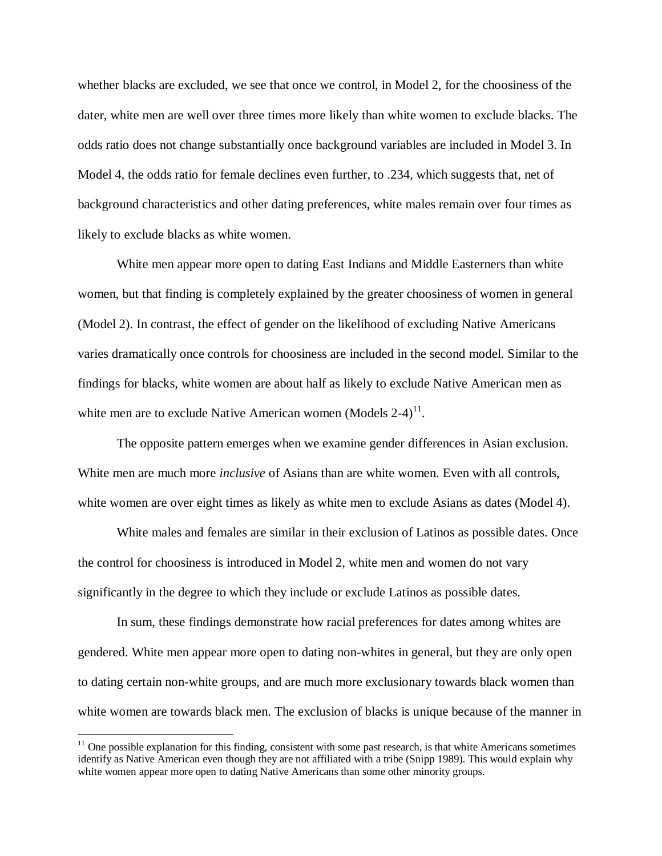whether blacks are excluded, we see that once we control, in Model 2, for the choosiness of the dater, white men are well over three times more likely than white women to exclude blacks. The odds ratio does not change substantially once background variables are included in Model 3. In Model 4, the odds ratio for female declines even further, to .234, which suggests that, net of background characteristics and other dating preferences, white males remain over four times as likely to exclude blacks as white women.

White men appear more open to dating East Indians and Middle Easterners than white women, but that finding is completely explained by the greater choosiness of women in general (Model 2). In contrast, the effect of gender on the likelihood of excluding Native Americans varies dramatically once controls for choosiness are included in the second model. Similar to the findings for blacks, white women are about half as likely to exclude Native American men as white men are to exclude Native American women (Models  $2-4$ )<sup>11</sup>.

The opposite pattern emerges when we examine gender differences in Asian exclusion. White men are much more *inclusive* of Asians than are white women. Even with all controls, white women are over eight times as likely as white men to exclude Asians as dates (Model 4).

White males and females are similar in their exclusion of Latinos as possible dates. Once the control for choosiness is introduced in Model 2, white men and women do not vary significantly in the degree to which they include or exclude Latinos as possible dates.

 In sum, these findings demonstrate how racial preferences for dates among whites are gendered. White men appear more open to dating non-whites in general, but they are only open to dating certain non-white groups, and are much more exclusionary towards black women than white women are towards black men. The exclusion of blacks is unique because of the manner in

 $\overline{a}$ 

 $<sup>11</sup>$  One possible explanation for this finding, consistent with some past research, is that white Americans sometimes</sup> identify as Native American even though they are not affiliated with a tribe (Snipp 1989). This would explain why white women appear more open to dating Native Americans than some other minority groups.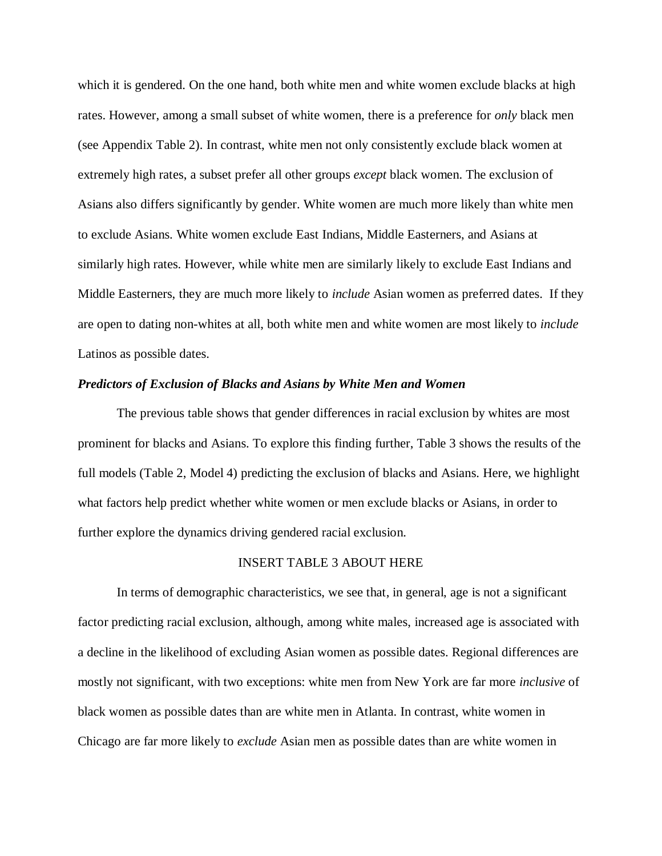which it is gendered. On the one hand, both white men and white women exclude blacks at high rates. However, among a small subset of white women, there is a preference for *only* black men (see Appendix Table 2). In contrast, white men not only consistently exclude black women at extremely high rates, a subset prefer all other groups *except* black women. The exclusion of Asians also differs significantly by gender. White women are much more likely than white men to exclude Asians. White women exclude East Indians, Middle Easterners, and Asians at similarly high rates. However, while white men are similarly likely to exclude East Indians and Middle Easterners, they are much more likely to *include* Asian women as preferred dates. If they are open to dating non-whites at all, both white men and white women are most likely to *include* Latinos as possible dates.

### *Predictors of Exclusion of Blacks and Asians by White Men and Women*

The previous table shows that gender differences in racial exclusion by whites are most prominent for blacks and Asians. To explore this finding further, Table 3 shows the results of the full models (Table 2, Model 4) predicting the exclusion of blacks and Asians. Here, we highlight what factors help predict whether white women or men exclude blacks or Asians, in order to further explore the dynamics driving gendered racial exclusion.

# INSERT TABLE 3 ABOUT HERE

In terms of demographic characteristics, we see that, in general, age is not a significant factor predicting racial exclusion, although, among white males, increased age is associated with a decline in the likelihood of excluding Asian women as possible dates. Regional differences are mostly not significant, with two exceptions: white men from New York are far more *inclusive* of black women as possible dates than are white men in Atlanta. In contrast, white women in Chicago are far more likely to *exclude* Asian men as possible dates than are white women in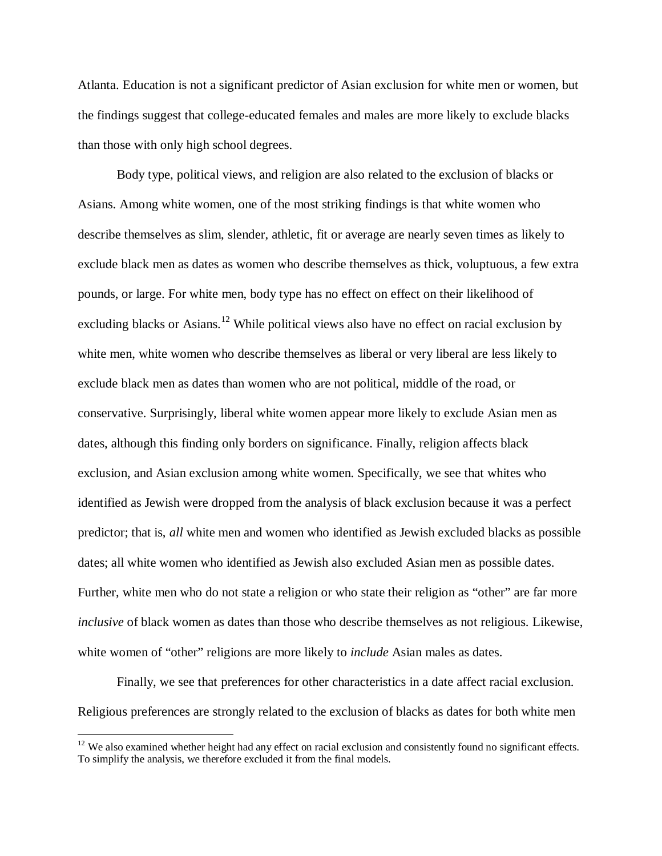Atlanta. Education is not a significant predictor of Asian exclusion for white men or women, but the findings suggest that college-educated females and males are more likely to exclude blacks than those with only high school degrees.

Body type, political views, and religion are also related to the exclusion of blacks or Asians. Among white women, one of the most striking findings is that white women who describe themselves as slim, slender, athletic, fit or average are nearly seven times as likely to exclude black men as dates as women who describe themselves as thick, voluptuous, a few extra pounds, or large. For white men, body type has no effect on effect on their likelihood of excluding blacks or Asians.<sup>12</sup> While political views also have no effect on racial exclusion by white men, white women who describe themselves as liberal or very liberal are less likely to exclude black men as dates than women who are not political, middle of the road, or conservative. Surprisingly, liberal white women appear more likely to exclude Asian men as dates, although this finding only borders on significance. Finally, religion affects black exclusion, and Asian exclusion among white women. Specifically, we see that whites who identified as Jewish were dropped from the analysis of black exclusion because it was a perfect predictor; that is, *all* white men and women who identified as Jewish excluded blacks as possible dates; all white women who identified as Jewish also excluded Asian men as possible dates. Further, white men who do not state a religion or who state their religion as "other" are far more *inclusive* of black women as dates than those who describe themselves as not religious. Likewise, white women of "other" religions are more likely to *include* Asian males as dates.

Finally, we see that preferences for other characteristics in a date affect racial exclusion. Religious preferences are strongly related to the exclusion of blacks as dates for both white men

 $\overline{a}$ 

 $12$  We also examined whether height had any effect on racial exclusion and consistently found no significant effects. To simplify the analysis, we therefore excluded it from the final models.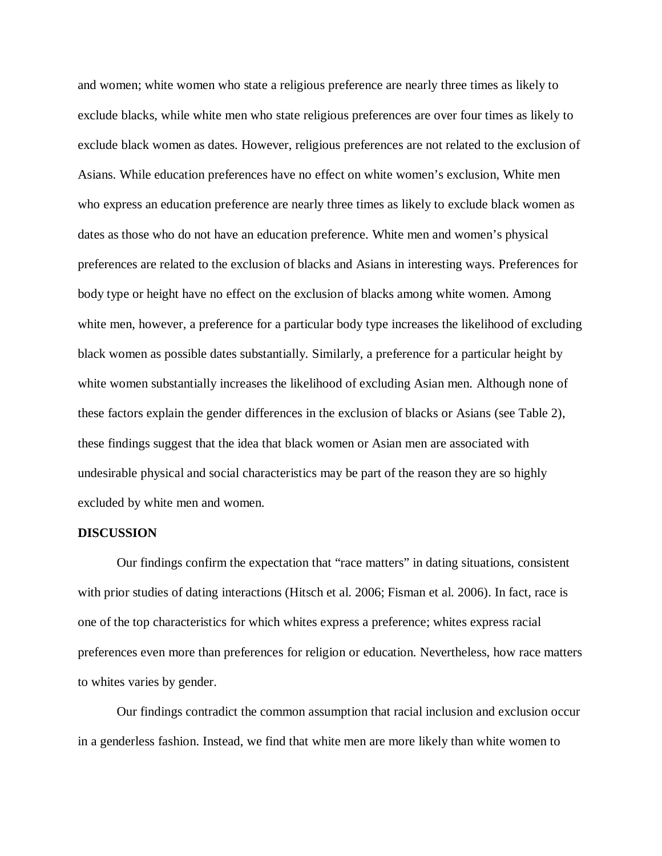and women; white women who state a religious preference are nearly three times as likely to exclude blacks, while white men who state religious preferences are over four times as likely to exclude black women as dates. However, religious preferences are not related to the exclusion of Asians. While education preferences have no effect on white women's exclusion, White men who express an education preference are nearly three times as likely to exclude black women as dates as those who do not have an education preference. White men and women's physical preferences are related to the exclusion of blacks and Asians in interesting ways. Preferences for body type or height have no effect on the exclusion of blacks among white women. Among white men, however, a preference for a particular body type increases the likelihood of excluding black women as possible dates substantially. Similarly, a preference for a particular height by white women substantially increases the likelihood of excluding Asian men. Although none of these factors explain the gender differences in the exclusion of blacks or Asians (see Table 2), these findings suggest that the idea that black women or Asian men are associated with undesirable physical and social characteristics may be part of the reason they are so highly excluded by white men and women.

### **DISCUSSION**

Our findings confirm the expectation that "race matters" in dating situations, consistent with prior studies of dating interactions (Hitsch et al. 2006; Fisman et al. 2006). In fact, race is one of the top characteristics for which whites express a preference; whites express racial preferences even more than preferences for religion or education. Nevertheless, how race matters to whites varies by gender.

Our findings contradict the common assumption that racial inclusion and exclusion occur in a genderless fashion. Instead, we find that white men are more likely than white women to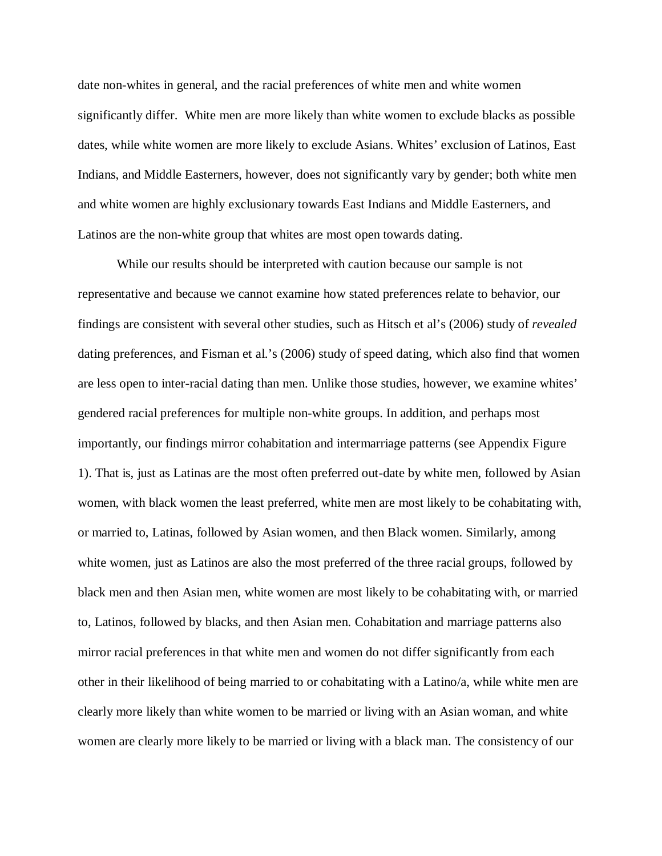date non-whites in general, and the racial preferences of white men and white women significantly differ. White men are more likely than white women to exclude blacks as possible dates, while white women are more likely to exclude Asians. Whites' exclusion of Latinos, East Indians, and Middle Easterners, however, does not significantly vary by gender; both white men and white women are highly exclusionary towards East Indians and Middle Easterners, and Latinos are the non-white group that whites are most open towards dating.

While our results should be interpreted with caution because our sample is not representative and because we cannot examine how stated preferences relate to behavior, our findings are consistent with several other studies, such as Hitsch et al's (2006) study of *revealed* dating preferences, and Fisman et al.'s (2006) study of speed dating, which also find that women are less open to inter-racial dating than men. Unlike those studies, however, we examine whites' gendered racial preferences for multiple non-white groups. In addition, and perhaps most importantly, our findings mirror cohabitation and intermarriage patterns (see Appendix Figure 1). That is, just as Latinas are the most often preferred out-date by white men, followed by Asian women, with black women the least preferred, white men are most likely to be cohabitating with, or married to, Latinas, followed by Asian women, and then Black women. Similarly, among white women, just as Latinos are also the most preferred of the three racial groups, followed by black men and then Asian men, white women are most likely to be cohabitating with, or married to, Latinos, followed by blacks, and then Asian men. Cohabitation and marriage patterns also mirror racial preferences in that white men and women do not differ significantly from each other in their likelihood of being married to or cohabitating with a Latino/a, while white men are clearly more likely than white women to be married or living with an Asian woman, and white women are clearly more likely to be married or living with a black man. The consistency of our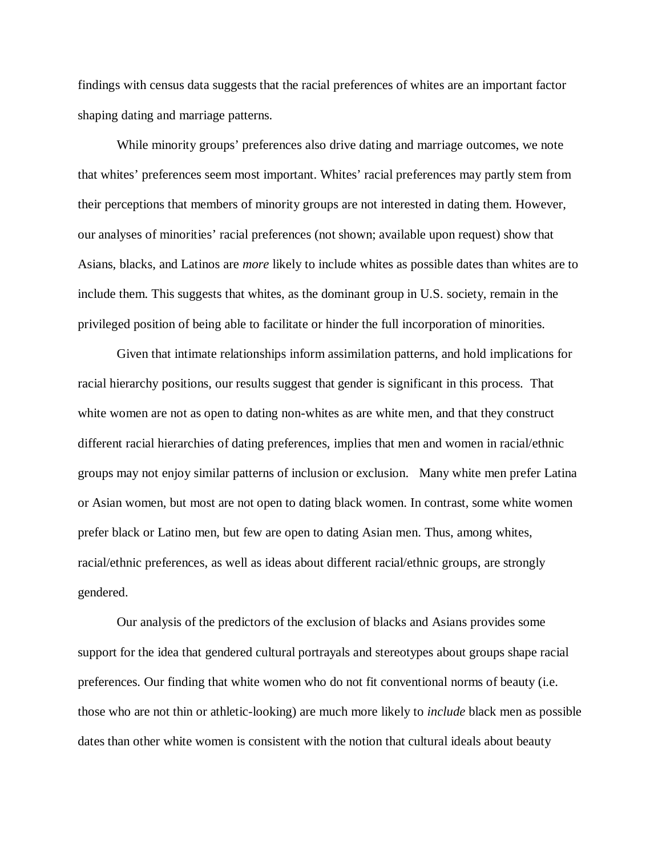findings with census data suggests that the racial preferences of whites are an important factor shaping dating and marriage patterns.

While minority groups' preferences also drive dating and marriage outcomes, we note that whites' preferences seem most important. Whites' racial preferences may partly stem from their perceptions that members of minority groups are not interested in dating them. However, our analyses of minorities' racial preferences (not shown; available upon request) show that Asians, blacks, and Latinos are *more* likely to include whites as possible dates than whites are to include them. This suggests that whites, as the dominant group in U.S. society, remain in the privileged position of being able to facilitate or hinder the full incorporation of minorities.

Given that intimate relationships inform assimilation patterns, and hold implications for racial hierarchy positions, our results suggest that gender is significant in this process. That white women are not as open to dating non-whites as are white men, and that they construct different racial hierarchies of dating preferences, implies that men and women in racial/ethnic groups may not enjoy similar patterns of inclusion or exclusion. Many white men prefer Latina or Asian women, but most are not open to dating black women. In contrast, some white women prefer black or Latino men, but few are open to dating Asian men. Thus, among whites, racial/ethnic preferences, as well as ideas about different racial/ethnic groups, are strongly gendered.

Our analysis of the predictors of the exclusion of blacks and Asians provides some support for the idea that gendered cultural portrayals and stereotypes about groups shape racial preferences. Our finding that white women who do not fit conventional norms of beauty (i.e. those who are not thin or athletic-looking) are much more likely to *include* black men as possible dates than other white women is consistent with the notion that cultural ideals about beauty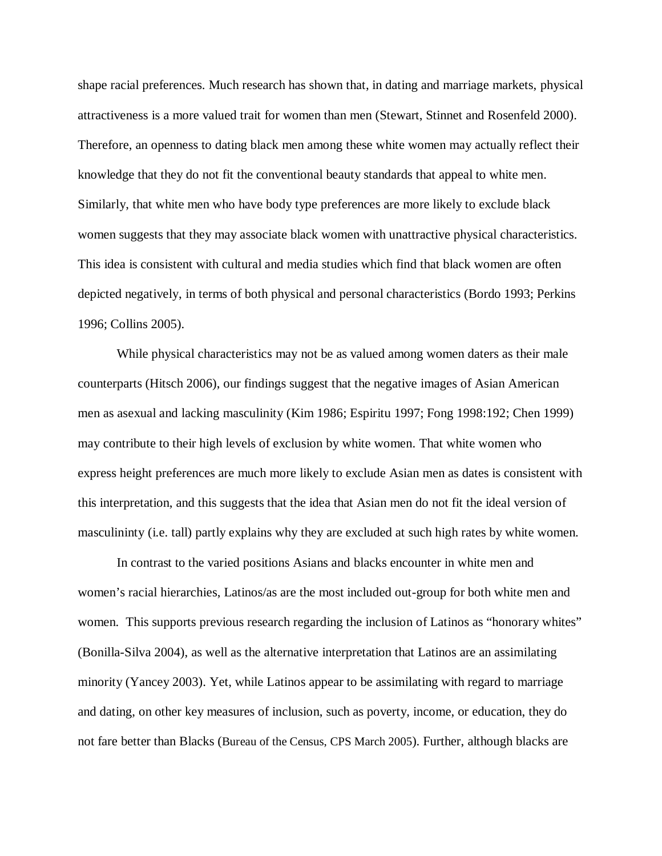shape racial preferences. Much research has shown that, in dating and marriage markets, physical attractiveness is a more valued trait for women than men (Stewart, Stinnet and Rosenfeld 2000). Therefore, an openness to dating black men among these white women may actually reflect their knowledge that they do not fit the conventional beauty standards that appeal to white men. Similarly, that white men who have body type preferences are more likely to exclude black women suggests that they may associate black women with unattractive physical characteristics. This idea is consistent with cultural and media studies which find that black women are often depicted negatively, in terms of both physical and personal characteristics (Bordo 1993; Perkins 1996; Collins 2005).

While physical characteristics may not be as valued among women daters as their male counterparts (Hitsch 2006), our findings suggest that the negative images of Asian American men as asexual and lacking masculinity (Kim 1986; Espiritu 1997; Fong 1998:192; Chen 1999) may contribute to their high levels of exclusion by white women. That white women who express height preferences are much more likely to exclude Asian men as dates is consistent with this interpretation, and this suggests that the idea that Asian men do not fit the ideal version of masculininty (i.e. tall) partly explains why they are excluded at such high rates by white women.

In contrast to the varied positions Asians and blacks encounter in white men and women's racial hierarchies, Latinos/as are the most included out-group for both white men and women. This supports previous research regarding the inclusion of Latinos as "honorary whites" (Bonilla-Silva 2004), as well as the alternative interpretation that Latinos are an assimilating minority (Yancey 2003). Yet, while Latinos appear to be assimilating with regard to marriage and dating, on other key measures of inclusion, such as poverty, income, or education, they do not fare better than Blacks (Bureau of the Census, CPS March 2005). Further, although blacks are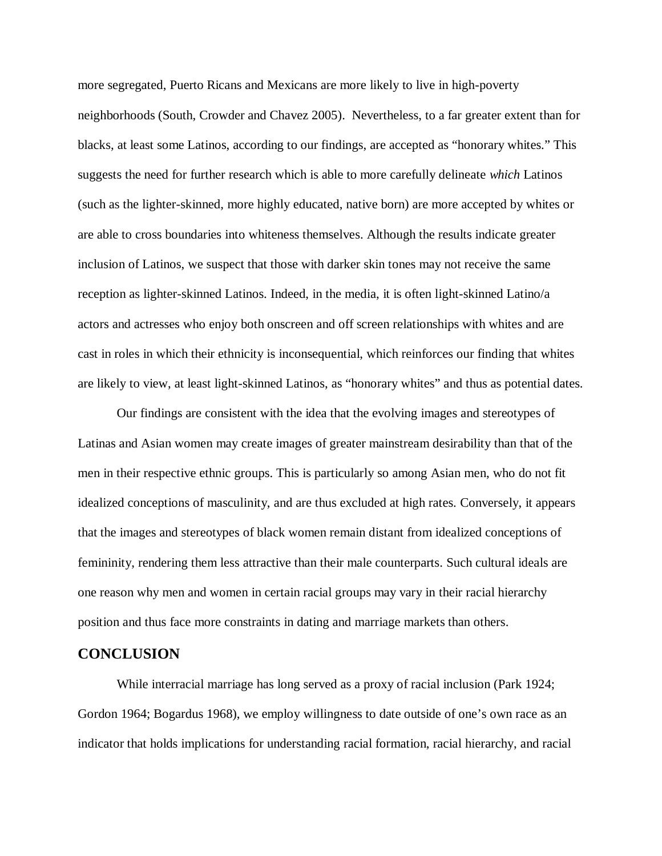more segregated, Puerto Ricans and Mexicans are more likely to live in high-poverty neighborhoods (South, Crowder and Chavez 2005). Nevertheless, to a far greater extent than for blacks, at least some Latinos, according to our findings, are accepted as "honorary whites." This suggests the need for further research which is able to more carefully delineate *which* Latinos (such as the lighter-skinned, more highly educated, native born) are more accepted by whites or are able to cross boundaries into whiteness themselves. Although the results indicate greater inclusion of Latinos, we suspect that those with darker skin tones may not receive the same reception as lighter-skinned Latinos. Indeed, in the media, it is often light-skinned Latino/a actors and actresses who enjoy both onscreen and off screen relationships with whites and are cast in roles in which their ethnicity is inconsequential, which reinforces our finding that whites are likely to view, at least light-skinned Latinos, as "honorary whites" and thus as potential dates.

Our findings are consistent with the idea that the evolving images and stereotypes of Latinas and Asian women may create images of greater mainstream desirability than that of the men in their respective ethnic groups. This is particularly so among Asian men, who do not fit idealized conceptions of masculinity, and are thus excluded at high rates. Conversely, it appears that the images and stereotypes of black women remain distant from idealized conceptions of femininity, rendering them less attractive than their male counterparts. Such cultural ideals are one reason why men and women in certain racial groups may vary in their racial hierarchy position and thus face more constraints in dating and marriage markets than others.

# **CONCLUSION**

While interracial marriage has long served as a proxy of racial inclusion (Park 1924; Gordon 1964; Bogardus 1968), we employ willingness to date outside of one's own race as an indicator that holds implications for understanding racial formation, racial hierarchy, and racial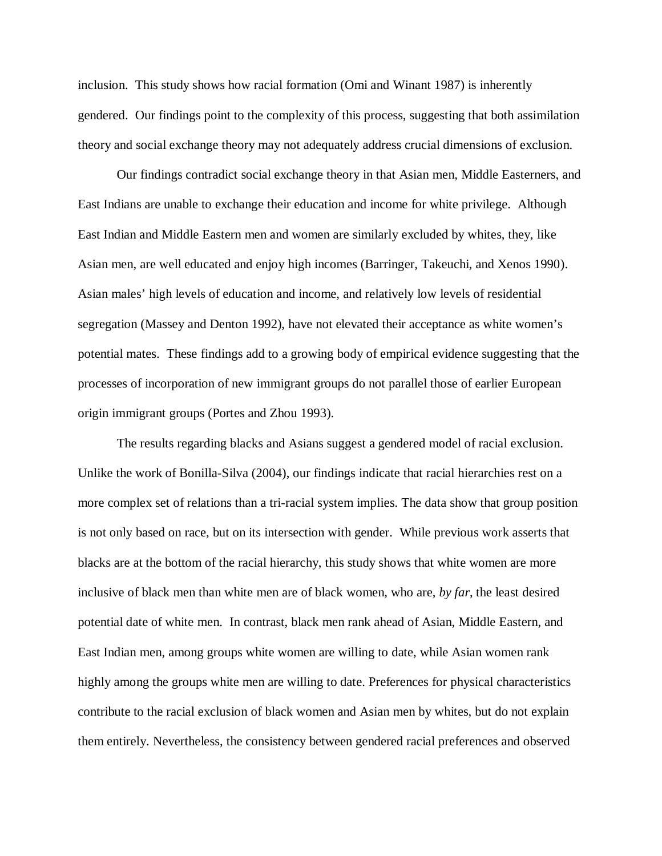inclusion. This study shows how racial formation (Omi and Winant 1987) is inherently gendered. Our findings point to the complexity of this process, suggesting that both assimilation theory and social exchange theory may not adequately address crucial dimensions of exclusion.

Our findings contradict social exchange theory in that Asian men, Middle Easterners, and East Indians are unable to exchange their education and income for white privilege. Although East Indian and Middle Eastern men and women are similarly excluded by whites, they, like Asian men, are well educated and enjoy high incomes (Barringer, Takeuchi, and Xenos 1990). Asian males' high levels of education and income, and relatively low levels of residential segregation (Massey and Denton 1992), have not elevated their acceptance as white women's potential mates. These findings add to a growing body of empirical evidence suggesting that the processes of incorporation of new immigrant groups do not parallel those of earlier European origin immigrant groups (Portes and Zhou 1993).

The results regarding blacks and Asians suggest a gendered model of racial exclusion. Unlike the work of Bonilla-Silva (2004), our findings indicate that racial hierarchies rest on a more complex set of relations than a tri-racial system implies. The data show that group position is not only based on race, but on its intersection with gender. While previous work asserts that blacks are at the bottom of the racial hierarchy, this study shows that white women are more inclusive of black men than white men are of black women, who are, *by far*, the least desired potential date of white men. In contrast, black men rank ahead of Asian, Middle Eastern, and East Indian men, among groups white women are willing to date, while Asian women rank highly among the groups white men are willing to date. Preferences for physical characteristics contribute to the racial exclusion of black women and Asian men by whites, but do not explain them entirely. Nevertheless, the consistency between gendered racial preferences and observed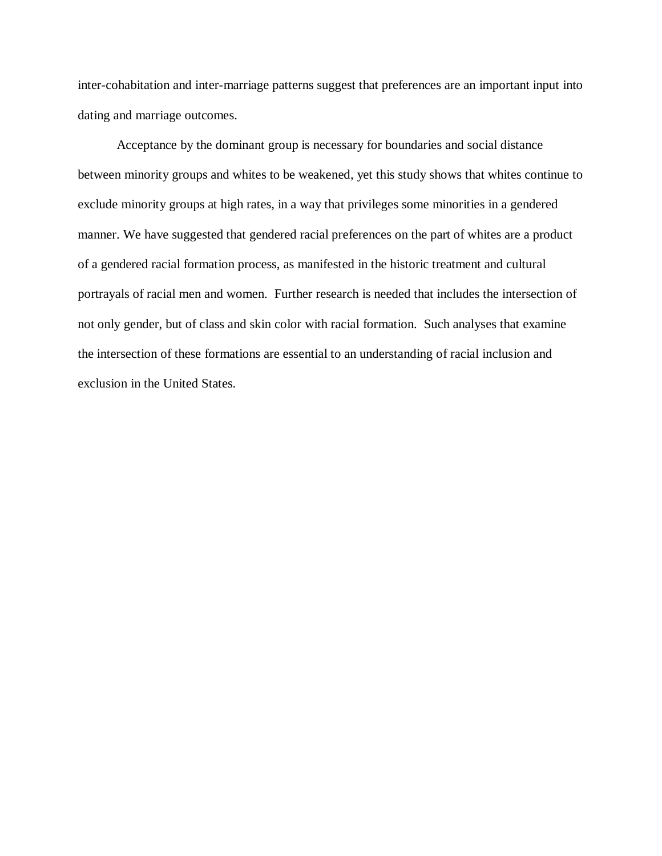inter-cohabitation and inter-marriage patterns suggest that preferences are an important input into dating and marriage outcomes.

Acceptance by the dominant group is necessary for boundaries and social distance between minority groups and whites to be weakened, yet this study shows that whites continue to exclude minority groups at high rates, in a way that privileges some minorities in a gendered manner. We have suggested that gendered racial preferences on the part of whites are a product of a gendered racial formation process, as manifested in the historic treatment and cultural portrayals of racial men and women. Further research is needed that includes the intersection of not only gender, but of class and skin color with racial formation. Such analyses that examine the intersection of these formations are essential to an understanding of racial inclusion and exclusion in the United States.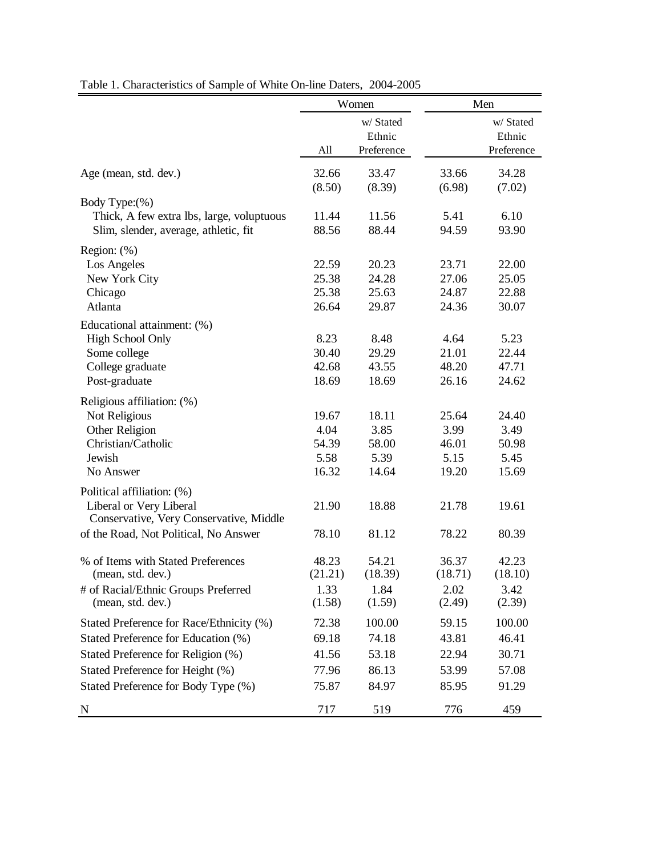|                                                                                                             | Women                                   |                                         |                                         | Men                                     |  |
|-------------------------------------------------------------------------------------------------------------|-----------------------------------------|-----------------------------------------|-----------------------------------------|-----------------------------------------|--|
|                                                                                                             | All                                     | w/ Stated<br>Ethnic<br>Preference       |                                         | w/ Stated<br>Ethnic<br>Preference       |  |
| Age (mean, std. dev.)                                                                                       | 32.66<br>(8.50)                         | 33.47<br>(8.39)                         | 33.66<br>(6.98)                         | 34.28<br>(7.02)                         |  |
| Body Type:(%)<br>Thick, A few extra lbs, large, voluptuous<br>Slim, slender, average, athletic, fit         | 11.44<br>88.56                          | 11.56<br>88.44                          | 5.41<br>94.59                           | 6.10<br>93.90                           |  |
| Region: (%)<br>Los Angeles<br>New York City<br>Chicago<br>Atlanta                                           | 22.59<br>25.38<br>25.38<br>26.64        | 20.23<br>24.28<br>25.63<br>29.87        | 23.71<br>27.06<br>24.87<br>24.36        | 22.00<br>25.05<br>22.88<br>30.07        |  |
| Educational attainment: (%)<br><b>High School Only</b><br>Some college<br>College graduate<br>Post-graduate | 8.23<br>30.40<br>42.68<br>18.69         | 8.48<br>29.29<br>43.55<br>18.69         | 4.64<br>21.01<br>48.20<br>26.16         | 5.23<br>22.44<br>47.71<br>24.62         |  |
| Religious affiliation: (%)<br>Not Religious<br>Other Religion<br>Christian/Catholic<br>Jewish<br>No Answer  | 19.67<br>4.04<br>54.39<br>5.58<br>16.32 | 18.11<br>3.85<br>58.00<br>5.39<br>14.64 | 25.64<br>3.99<br>46.01<br>5.15<br>19.20 | 24.40<br>3.49<br>50.98<br>5.45<br>15.69 |  |
| Political affiliation: (%)<br>Liberal or Very Liberal<br>Conservative, Very Conservative, Middle            | 21.90                                   | 18.88                                   | 21.78                                   | 19.61                                   |  |
| of the Road, Not Political, No Answer<br>% of Items with Stated Preferences                                 | 78.10<br>48.23                          | 81.12<br>54.21                          | 78.22<br>36.37                          | 80.39<br>42.23                          |  |
| (mean, std. dev.)<br># of Racial/Ethnic Groups Preferred                                                    | (21.21)<br>1.33                         | (18.39)<br>1.84                         | (18.71)<br>2.02                         | (18.10)<br>3.42                         |  |
| (mean, std. dev.)                                                                                           | (1.58)                                  | (1.59)                                  | (2.49)                                  | (2.39)                                  |  |
| Stated Preference for Race/Ethnicity (%)<br>Stated Preference for Education (%)                             | 72.38<br>69.18                          | 100.00<br>74.18                         | 59.15<br>43.81                          | 100.00<br>46.41                         |  |
| Stated Preference for Religion (%)                                                                          | 41.56                                   | 53.18                                   | 22.94                                   | 30.71                                   |  |
| Stated Preference for Height (%)                                                                            | 77.96                                   | 86.13                                   | 53.99                                   | 57.08                                   |  |
| Stated Preference for Body Type (%)                                                                         | 75.87                                   | 84.97                                   | 85.95                                   | 91.29                                   |  |
| N                                                                                                           | 717                                     | 519                                     | 776                                     | 459                                     |  |

Table 1. Characteristics of Sample of White On-line Daters, 2004-2005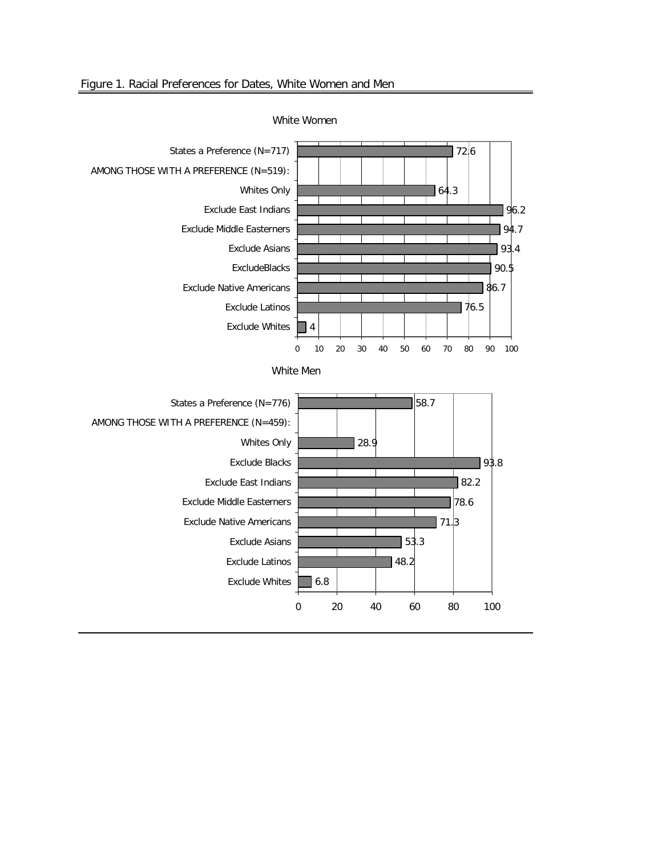

White Women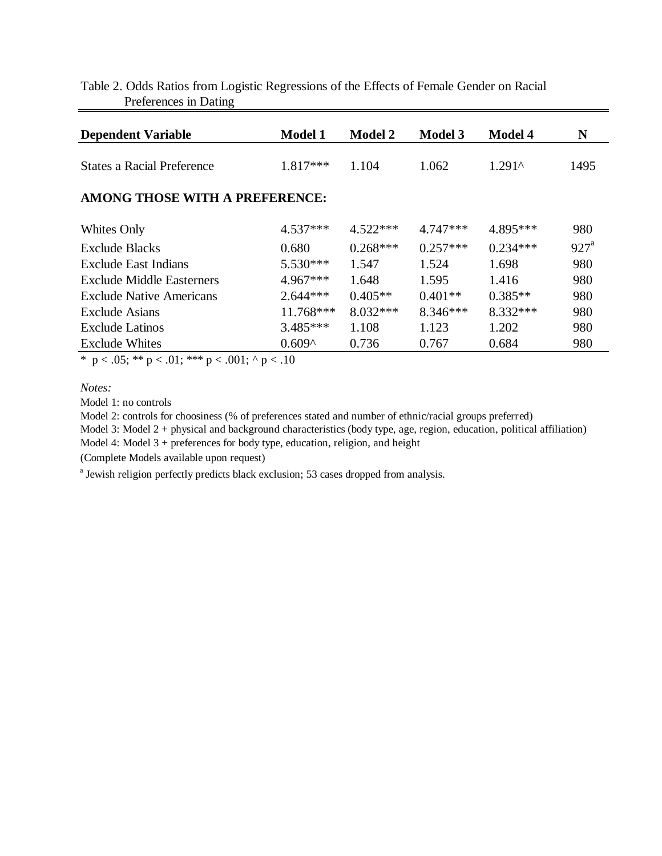| <b>Dependent Variable</b>         | <b>Model 1</b> | <b>Model 2</b> | <b>Model 3</b> | <b>Model 4</b> | N                  |
|-----------------------------------|----------------|----------------|----------------|----------------|--------------------|
| <b>States a Racial Preference</b> | 1.817***       | 1.104          | 1.062          | $1.291^$       | 1495               |
| AMONG THOSE WITH A PREFERENCE:    |                |                |                |                |                    |
| Whites Only                       | $4.537***$     | $4.522***$     | $4.747***$     | 4.895***       | 980                |
| <b>Exclude Blacks</b>             | 0.680          | $0.268***$     | $0.257***$     | $0.234***$     | $927^{\mathrm{a}}$ |
| <b>Exclude East Indians</b>       | $5.530***$     | 1.547          | 1.524          | 1.698          | 980                |
| Exclude Middle Easterners         | 4.967***       | 1.648          | 1.595          | 1.416          | 980                |
| <b>Exclude Native Americans</b>   | $2.644***$     | $0.405**$      | $0.401**$      | $0.385**$      | 980                |
| <b>Exclude Asians</b>             | 11.768***      | $8.032***$     | 8.346***       | 8.332 ***      | 980                |
| <b>Exclude Latinos</b>            | $3.485***$     | 1.108          | 1.123          | 1.202          | 980                |
| <b>Exclude Whites</b>             | $0.609^$       | 0.736          | 0.767          | 0.684          | 980                |

# Table 2. Odds Ratios from Logistic Regressions of the Effects of Female Gender on Racial Preferences in Dating

\* p < .05; \*\* p < .01; \*\*\* p < .001; ^ p < .10

*Notes:* 

Model 1: no controls

Model 2: controls for choosiness (% of preferences stated and number of ethnic/racial groups preferred)

Model 3: Model 2 + physical and background characteristics (body type, age, region, education, political affiliation)

Model 4: Model 3 + preferences for body type, education, religion, and height

(Complete Models available upon request)

<sup>a</sup> Jewish religion perfectly predicts black exclusion; 53 cases dropped from analysis.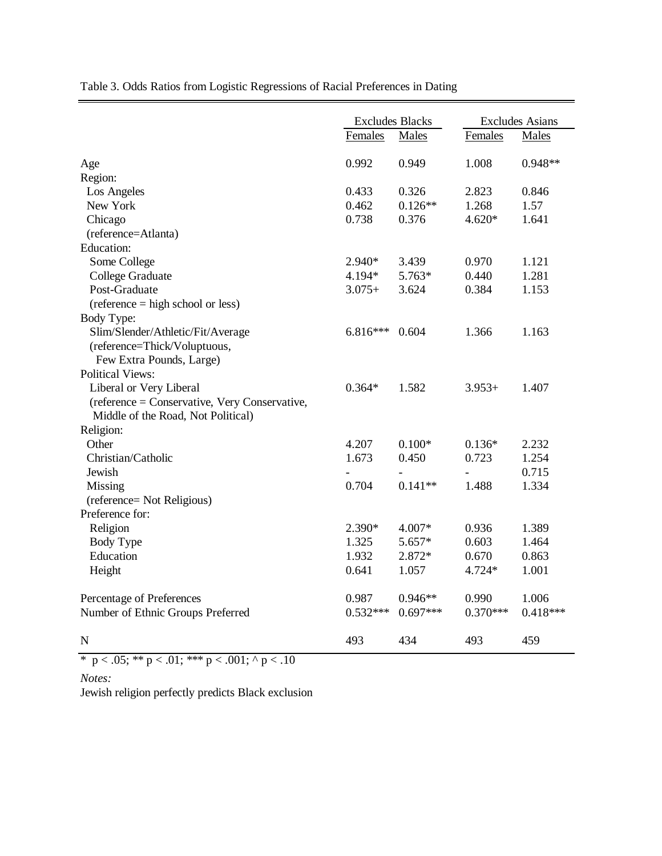Table 3. Odds Ratios from Logistic Regressions of Racial Preferences in Dating

|                                               | <b>Excludes Blacks</b> |            | <b>Excludes Asians</b> |            |
|-----------------------------------------------|------------------------|------------|------------------------|------------|
|                                               | Females                | Males      | Females                | Males      |
| Age                                           | 0.992                  | 0.949      | 1.008                  | $0.948**$  |
| Region:                                       |                        |            |                        |            |
| Los Angeles                                   | 0.433                  | 0.326      | 2.823                  | 0.846      |
| New York                                      | 0.462                  | $0.126**$  | 1.268                  | 1.57       |
| Chicago                                       | 0.738                  | 0.376      | $4.620*$               | 1.641      |
| (reference=Atlanta)                           |                        |            |                        |            |
| Education:                                    |                        |            |                        |            |
| Some College                                  | 2.940*                 | 3.439      | 0.970                  | 1.121      |
| College Graduate                              | 4.194*                 | 5.763*     | 0.440                  | 1.281      |
| Post-Graduate                                 | $3.075+$               | 3.624      | 0.384                  | 1.153      |
| $(reference = high school or less)$           |                        |            |                        |            |
| Body Type:                                    |                        |            |                        |            |
| Slim/Slender/Athletic/Fit/Average             | $6.816***$             | 0.604      | 1.366                  | 1.163      |
| (reference=Thick/Voluptuous,                  |                        |            |                        |            |
| Few Extra Pounds, Large)                      |                        |            |                        |            |
| <b>Political Views:</b>                       |                        |            |                        |            |
| Liberal or Very Liberal                       | $0.364*$               | 1.582      | $3.953+$               | 1.407      |
| (reference = Conservative, Very Conservative, |                        |            |                        |            |
| Middle of the Road, Not Political)            |                        |            |                        |            |
| Religion:                                     |                        |            |                        |            |
| Other                                         | 4.207                  | $0.100*$   | $0.136*$               | 2.232      |
| Christian/Catholic                            | 1.673                  | 0.450      | 0.723                  | 1.254      |
| Jewish                                        |                        |            |                        | 0.715      |
| Missing                                       | 0.704                  | $0.141**$  | 1.488                  | 1.334      |
| (reference= Not Religious)                    |                        |            |                        |            |
| Preference for:                               |                        |            |                        |            |
| Religion                                      | 2.390*                 | 4.007*     | 0.936                  | 1.389      |
| Body Type                                     | 1.325                  | 5.657*     | 0.603                  | 1.464      |
| Education                                     | 1.932                  | 2.872*     | 0.670                  | 0.863      |
| Height                                        | 0.641                  | 1.057      | 4.724*                 | 1.001      |
| Percentage of Preferences                     | 0.987                  | $0.946**$  | 0.990                  | 1.006      |
| Number of Ethnic Groups Preferred             | $0.532***$             | $0.697***$ | $0.370***$             | $0.418***$ |
| $\mathbf N$                                   | 493                    | 434        | 493                    | 459        |

\* p < .05; \*\* p < .01; \*\*\* p < .001; ^ p < .10

*Notes:* 

Jewish religion perfectly predicts Black exclusion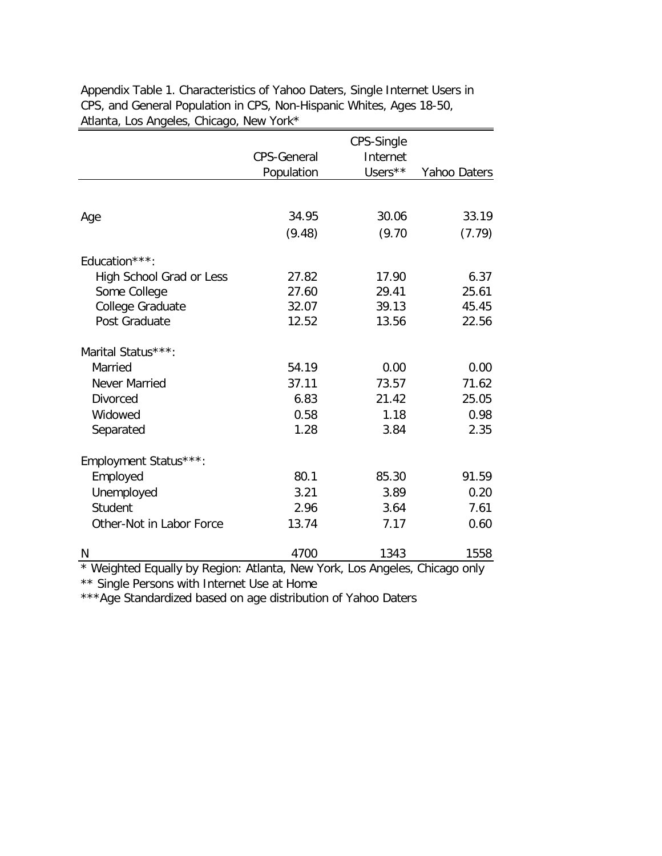|                                                                            |                    | CPS-Single |              |
|----------------------------------------------------------------------------|--------------------|------------|--------------|
|                                                                            | <b>CPS-General</b> | Internet   |              |
|                                                                            | Population         | Users**    | Yahoo Daters |
|                                                                            |                    |            |              |
| Age                                                                        | 34.95              | 30.06      | 33.19        |
|                                                                            | (9.48)             | (9.70)     | (7.79)       |
| Education***:                                                              |                    |            |              |
| High School Grad or Less                                                   | 27.82              | 17.90      | 6.37         |
| Some College                                                               | 27.60              | 29.41      | 25.61        |
| College Graduate                                                           | 32.07              | 39.13      | 45.45        |
| Post Graduate                                                              | 12.52              | 13.56      | 22.56        |
| Marital Status***:                                                         |                    |            |              |
| Married                                                                    | 54.19              | 0.00       | 0.00         |
| Never Married                                                              | 37.11              | 73.57      | 71.62        |
| <b>Divorced</b>                                                            | 6.83               | 21.42      | 25.05        |
| Widowed                                                                    | 0.58               | 1.18       | 0.98         |
| Separated                                                                  | 1.28               | 3.84       | 2.35         |
| Employment Status***:                                                      |                    |            |              |
| Employed                                                                   | 80.1               | 85.30      | 91.59        |
| Unemployed                                                                 | 3.21               | 3.89       | 0.20         |
| <b>Student</b>                                                             | 2.96               | 3.64       | 7.61         |
| Other-Not in Labor Force                                                   | 13.74              | 7.17       | 0.60         |
| N                                                                          | 4700               | 1343       | 1558         |
| * Weighted Equally by Region: Atlanta, New York, Los Angeles, Chicago only |                    |            |              |

Appendix Table 1. Characteristics of Yahoo Daters, Single Internet Users in CPS, and General Population in CPS, Non-Hispanic Whites, Ages 18-50, Atlanta, Los Angeles, Chicago, New York\*

\*\* Single Persons with Internet Use at Home

\*\*\*Age Standardized based on age distribution of Yahoo Daters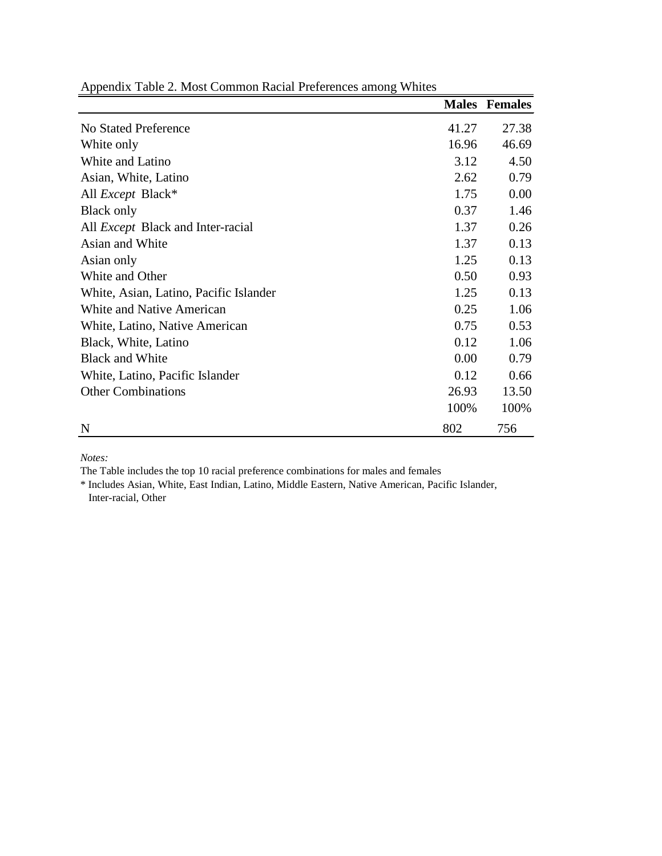|                                          | <b>Males</b> | <b>Females</b> |
|------------------------------------------|--------------|----------------|
| No Stated Preference                     | 41.27        | 27.38          |
| White only                               | 16.96        | 46.69          |
| White and Latino                         | 3.12         | 4.50           |
| Asian, White, Latino                     | 2.62         | 0.79           |
| All <i>Except</i> Black*                 | 1.75         | 0.00           |
| Black only                               | 0.37         | 1.46           |
| All <i>Except</i> Black and Inter-racial | 1.37         | 0.26           |
| Asian and White                          | 1.37         | 0.13           |
| Asian only                               | 1.25         | 0.13           |
| White and Other                          | 0.50         | 0.93           |
| White, Asian, Latino, Pacific Islander   | 1.25         | 0.13           |
| White and Native American                | 0.25         | 1.06           |
| White, Latino, Native American           | 0.75         | 0.53           |
| Black, White, Latino                     | 0.12         | 1.06           |
| <b>Black and White</b>                   | 0.00         | 0.79           |
| White, Latino, Pacific Islander          | 0.12         | 0.66           |
| <b>Other Combinations</b>                | 26.93        | 13.50          |
|                                          | 100%         | 100%           |
| N                                        | 802          | 756            |

Appendix Table 2. Most Common Racial Preferences among Whites

*Notes:* 

The Table includes the top 10 racial preference combinations for males and females

\* Includes Asian, White, East Indian, Latino, Middle Eastern, Native American, Pacific Islander, Inter-racial, Other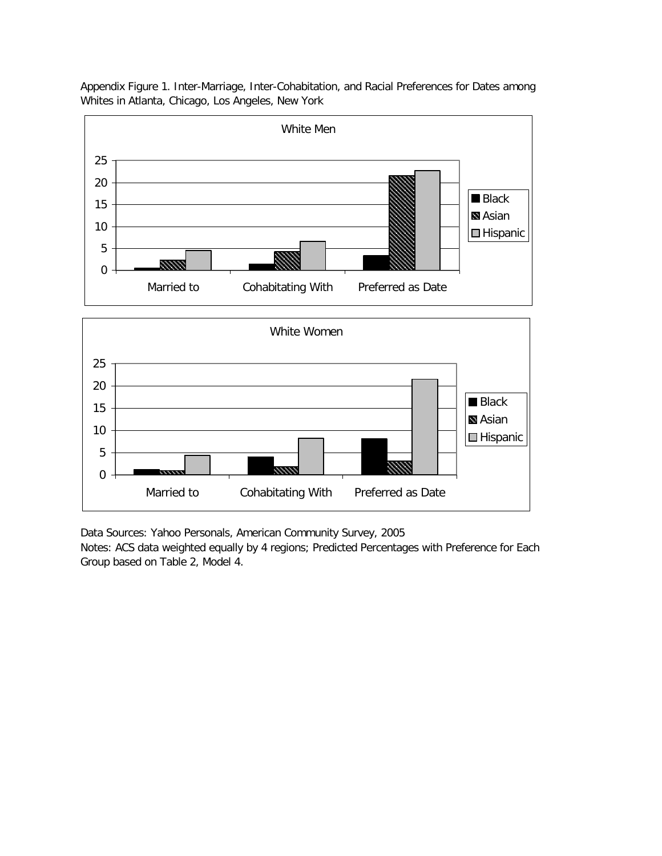Appendix Figure 1. Inter-Marriage, Inter-Cohabitation, and Racial Preferences for Dates among Whites in Atlanta, Chicago, Los Angeles, New York



Data Sources: Yahoo Personals, American Community Survey, 2005

Notes: ACS data weighted equally by 4 regions; Predicted Percentages with Preference for Each Group based on Table 2, Model 4.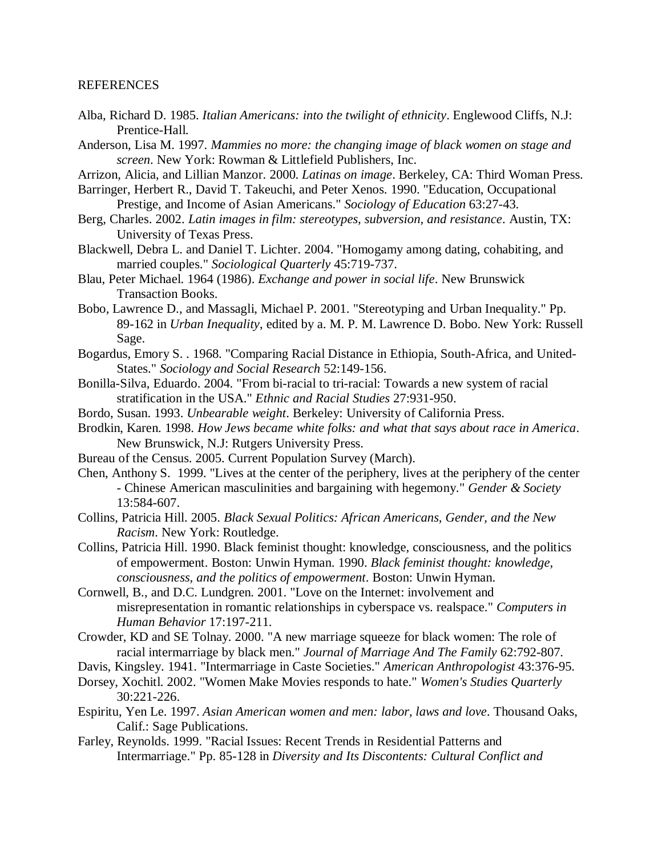## REFERENCES

- Alba, Richard D. 1985. *Italian Americans: into the twilight of ethnicity*. Englewood Cliffs, N.J: Prentice-Hall.
- Anderson, Lisa M. 1997. *Mammies no more: the changing image of black women on stage and screen*. New York: Rowman & Littlefield Publishers, Inc.

Arrizon, Alicia, and Lillian Manzor. 2000. *Latinas on image*. Berkeley, CA: Third Woman Press.

- Barringer, Herbert R., David T. Takeuchi, and Peter Xenos. 1990. "Education, Occupational Prestige, and Income of Asian Americans." *Sociology of Education* 63:27-43.
- Berg, Charles. 2002. *Latin images in film: stereotypes, subversion, and resistance*. Austin, TX: University of Texas Press.
- Blackwell, Debra L. and Daniel T. Lichter. 2004. "Homogamy among dating, cohabiting, and married couples." *Sociological Quarterly* 45:719-737.
- Blau, Peter Michael. 1964 (1986). *Exchange and power in social life*. New Brunswick Transaction Books.
- Bobo, Lawrence D., and Massagli, Michael P. 2001. "Stereotyping and Urban Inequality." Pp. 89-162 in *Urban Inequality*, edited by a. M. P. M. Lawrence D. Bobo. New York: Russell Sage.
- Bogardus, Emory S. . 1968. "Comparing Racial Distance in Ethiopia, South-Africa, and United-States." *Sociology and Social Research* 52:149-156.
- Bonilla-Silva, Eduardo. 2004. "From bi-racial to tri-racial: Towards a new system of racial stratification in the USA." *Ethnic and Racial Studies* 27:931-950.
- Bordo, Susan. 1993. *Unbearable weight*. Berkeley: University of California Press.
- Brodkin, Karen. 1998. *How Jews became white folks: and what that says about race in America*. New Brunswick, N.J: Rutgers University Press.
- Bureau of the Census. 2005. Current Population Survey (March).
- Chen, Anthony S. 1999. "Lives at the center of the periphery, lives at the periphery of the center - Chinese American masculinities and bargaining with hegemony." *Gender & Society* 13:584-607.
- Collins, Patricia Hill. 2005. *Black Sexual Politics: African Americans, Gender, and the New Racism*. New York: Routledge.
- Collins, Patricia Hill. 1990. Black feminist thought: knowledge, consciousness, and the politics of empowerment. Boston: Unwin Hyman. 1990. *Black feminist thought: knowledge, consciousness, and the politics of empowerment*. Boston: Unwin Hyman.
- Cornwell, B., and D.C. Lundgren. 2001. "Love on the Internet: involvement and misrepresentation in romantic relationships in cyberspace vs. realspace." *Computers in Human Behavior* 17:197-211.
- Crowder, KD and SE Tolnay. 2000. "A new marriage squeeze for black women: The role of racial intermarriage by black men." *Journal of Marriage And The Family* 62:792-807.
- Davis, Kingsley. 1941. "Intermarriage in Caste Societies." *American Anthropologist* 43:376-95.
- Dorsey, Xochitl. 2002. "Women Make Movies responds to hate." *Women's Studies Quarterly* 30:221-226.
- Espiritu, Yen Le. 1997. *Asian American women and men: labor, laws and love*. Thousand Oaks, Calif.: Sage Publications.
- Farley, Reynolds. 1999. "Racial Issues: Recent Trends in Residential Patterns and Intermarriage." Pp. 85-128 in *Diversity and Its Discontents: Cultural Conflict and*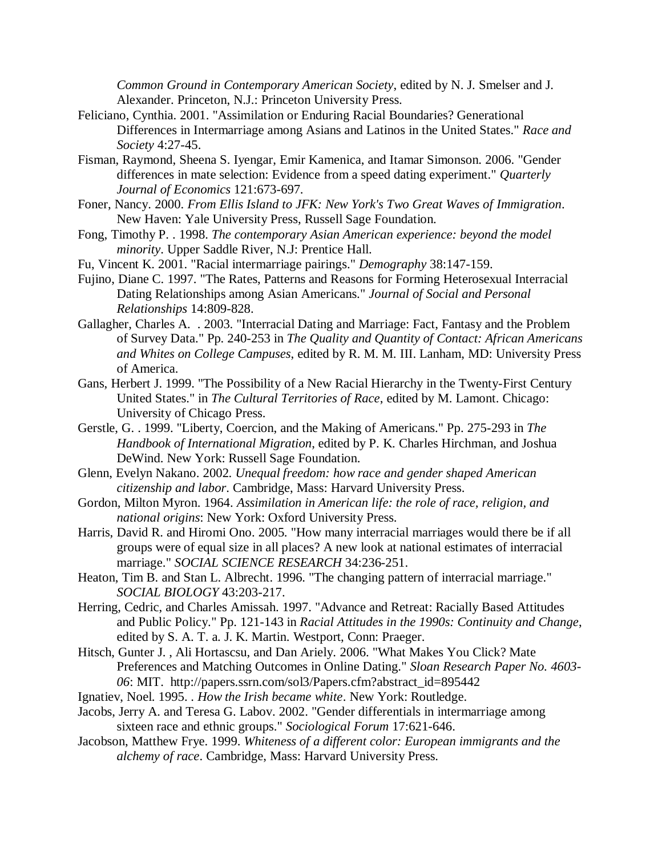*Common Ground in Contemporary American Society*, edited by N. J. Smelser and J. Alexander. Princeton, N.J.: Princeton University Press.

- Feliciano, Cynthia. 2001. "Assimilation or Enduring Racial Boundaries? Generational Differences in Intermarriage among Asians and Latinos in the United States." *Race and Society* 4:27-45.
- Fisman, Raymond, Sheena S. Iyengar, Emir Kamenica, and Itamar Simonson. 2006. "Gender differences in mate selection: Evidence from a speed dating experiment." *Quarterly Journal of Economics* 121:673-697.
- Foner, Nancy. 2000. *From Ellis Island to JFK: New York's Two Great Waves of Immigration*. New Haven: Yale University Press, Russell Sage Foundation.
- Fong, Timothy P. . 1998. *The contemporary Asian American experience: beyond the model minority*. Upper Saddle River, N.J: Prentice Hall.
- Fu, Vincent K. 2001. "Racial intermarriage pairings." *Demography* 38:147-159.
- Fujino, Diane C. 1997. "The Rates, Patterns and Reasons for Forming Heterosexual Interracial Dating Relationships among Asian Americans." *Journal of Social and Personal Relationships* 14:809-828.
- Gallagher, Charles A. . 2003. "Interracial Dating and Marriage: Fact, Fantasy and the Problem of Survey Data." Pp. 240-253 in *The Quality and Quantity of Contact: African Americans and Whites on College Campuses*, edited by R. M. M. III. Lanham, MD: University Press of America.
- Gans, Herbert J. 1999. "The Possibility of a New Racial Hierarchy in the Twenty-First Century United States." in *The Cultural Territories of Race*, edited by M. Lamont. Chicago: University of Chicago Press.
- Gerstle, G. . 1999. "Liberty, Coercion, and the Making of Americans." Pp. 275-293 in *The Handbook of International Migration*, edited by P. K. Charles Hirchman, and Joshua DeWind. New York: Russell Sage Foundation.
- Glenn, Evelyn Nakano. 2002. *Unequal freedom: how race and gender shaped American citizenship and labor*. Cambridge, Mass: Harvard University Press.
- Gordon, Milton Myron. 1964. *Assimilation in American life: the role of race, religion, and national origins*: New York: Oxford University Press.
- Harris, David R. and Hiromi Ono. 2005. "How many interracial marriages would there be if all groups were of equal size in all places? A new look at national estimates of interracial marriage." *SOCIAL SCIENCE RESEARCH* 34:236-251.
- Heaton, Tim B. and Stan L. Albrecht. 1996. "The changing pattern of interracial marriage." *SOCIAL BIOLOGY* 43:203-217.
- Herring, Cedric, and Charles Amissah. 1997. "Advance and Retreat: Racially Based Attitudes and Public Policy." Pp. 121-143 in *Racial Attitudes in the 1990s: Continuity and Change*, edited by S. A. T. a. J. K. Martin. Westport, Conn: Praeger.
- Hitsch, Gunter J. , Ali Hortascsu, and Dan Ariely. 2006. "What Makes You Click? Mate Preferences and Matching Outcomes in Online Dating." *Sloan Research Paper No. 4603- 06*: MIT. http://papers.ssrn.com/sol3/Papers.cfm?abstract\_id=895442
- Ignatiev, Noel. 1995. . *How the Irish became white*. New York: Routledge.
- Jacobs, Jerry A. and Teresa G. Labov. 2002. "Gender differentials in intermarriage among sixteen race and ethnic groups." *Sociological Forum* 17:621-646.
- Jacobson, Matthew Frye. 1999. *Whiteness of a different color: European immigrants and the alchemy of race*. Cambridge, Mass: Harvard University Press.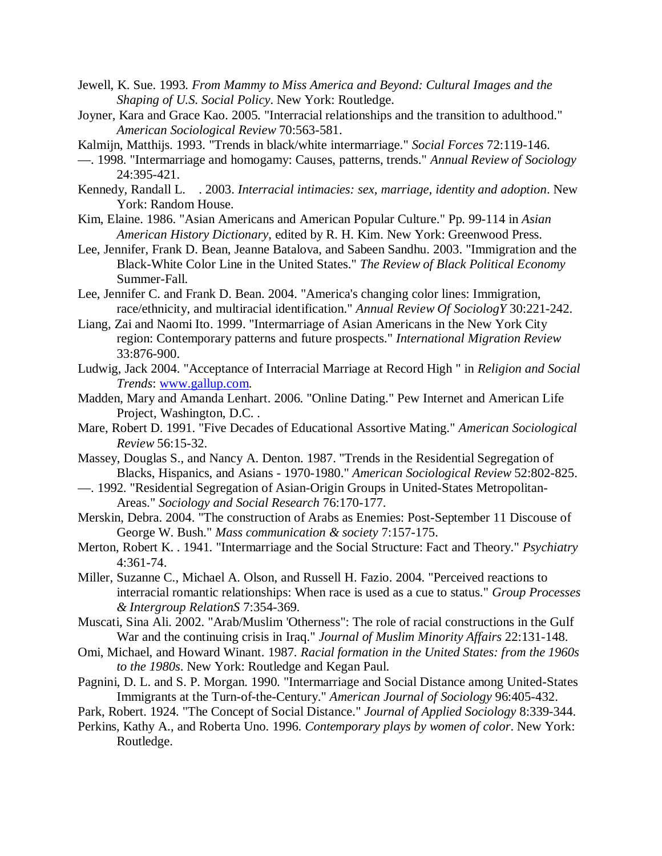- Jewell, K. Sue. 1993. *From Mammy to Miss America and Beyond: Cultural Images and the Shaping of U.S. Social Policy*. New York: Routledge.
- Joyner, Kara and Grace Kao. 2005. "Interracial relationships and the transition to adulthood." *American Sociological Review* 70:563-581.
- Kalmijn, Matthijs. 1993. "Trends in black/white intermarriage." *Social Forces* 72:119-146.
- —. 1998. "Intermarriage and homogamy: Causes, patterns, trends." *Annual Review of Sociology* 24:395-421.
- Kennedy, Randall L. . 2003. *Interracial intimacies: sex, marriage, identity and adoption*. New York: Random House.
- Kim, Elaine. 1986. "Asian Americans and American Popular Culture." Pp. 99-114 in *Asian American History Dictionary*, edited by R. H. Kim. New York: Greenwood Press.
- Lee, Jennifer, Frank D. Bean, Jeanne Batalova, and Sabeen Sandhu. 2003. "Immigration and the Black-White Color Line in the United States." *The Review of Black Political Economy* Summer-Fall.
- Lee, Jennifer C. and Frank D. Bean. 2004. "America's changing color lines: Immigration, race/ethnicity, and multiracial identification." *Annual Review Of SociologY* 30:221-242.
- Liang, Zai and Naomi Ito. 1999. "Intermarriage of Asian Americans in the New York City region: Contemporary patterns and future prospects." *International Migration Review* 33:876-900.
- Ludwig, Jack 2004. "Acceptance of Interracial Marriage at Record High " in *Religion and Social Trends*: www.gallup.com.
- Madden, Mary and Amanda Lenhart. 2006. "Online Dating." Pew Internet and American Life Project, Washington, D.C. .
- Mare, Robert D. 1991. "Five Decades of Educational Assortive Mating." *American Sociological Review* 56:15-32.
- Massey, Douglas S., and Nancy A. Denton. 1987. "Trends in the Residential Segregation of Blacks, Hispanics, and Asians - 1970-1980." *American Sociological Review* 52:802-825.
- —. 1992. "Residential Segregation of Asian-Origin Groups in United-States Metropolitan-Areas." *Sociology and Social Research* 76:170-177.
- Merskin, Debra. 2004. "The construction of Arabs as Enemies: Post-September 11 Discouse of George W. Bush." *Mass communication & society* 7:157-175.
- Merton, Robert K. . 1941. "Intermarriage and the Social Structure: Fact and Theory." *Psychiatry* 4:361-74.
- Miller, Suzanne C., Michael A. Olson, and Russell H. Fazio. 2004. "Perceived reactions to interracial romantic relationships: When race is used as a cue to status." *Group Processes & Intergroup RelationS* 7:354-369.
- Muscati, Sina Ali. 2002. "Arab/Muslim 'Otherness": The role of racial constructions in the Gulf War and the continuing crisis in Iraq." *Journal of Muslim Minority Affairs* 22:131-148.
- Omi, Michael, and Howard Winant. 1987. *Racial formation in the United States: from the 1960s to the 1980s*. New York: Routledge and Kegan Paul.
- Pagnini, D. L. and S. P. Morgan. 1990. "Intermarriage and Social Distance among United-States Immigrants at the Turn-of-the-Century." *American Journal of Sociology* 96:405-432.
- Park, Robert. 1924. "The Concept of Social Distance." *Journal of Applied Sociology* 8:339-344.
- Perkins, Kathy A., and Roberta Uno. 1996. *Contemporary plays by women of color*. New York: Routledge.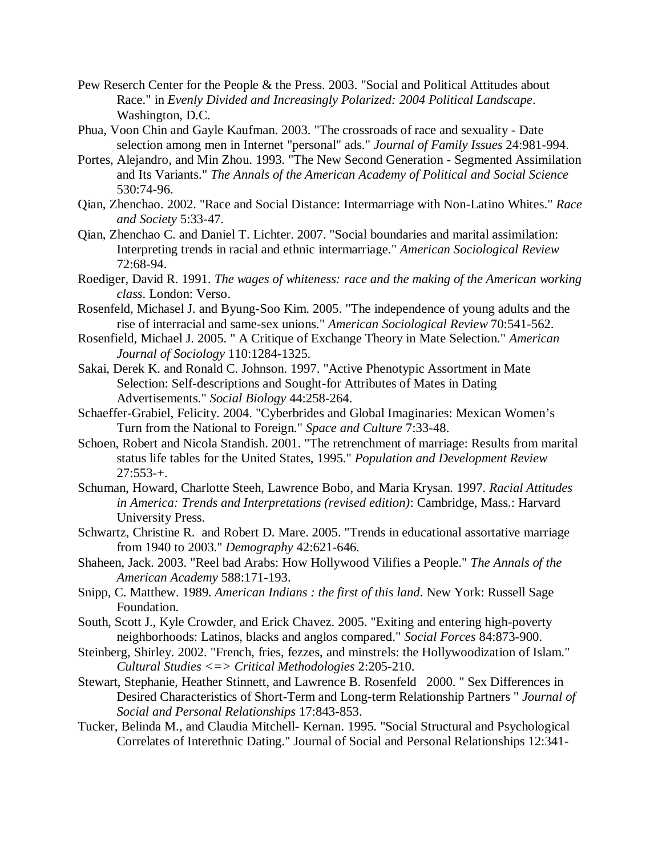- Pew Reserch Center for the People & the Press. 2003. "Social and Political Attitudes about Race." in *Evenly Divided and Increasingly Polarized: 2004 Political Landscape*. Washington, D.C.
- Phua, Voon Chin and Gayle Kaufman. 2003. "The crossroads of race and sexuality Date selection among men in Internet "personal" ads." *Journal of Family Issues* 24:981-994.
- Portes, Alejandro, and Min Zhou. 1993. "The New Second Generation Segmented Assimilation and Its Variants." *The Annals of the American Academy of Political and Social Science*  530:74-96.
- Qian, Zhenchao. 2002. "Race and Social Distance: Intermarriage with Non-Latino Whites." *Race and Society* 5:33-47.
- Qian, Zhenchao C. and Daniel T. Lichter. 2007. "Social boundaries and marital assimilation: Interpreting trends in racial and ethnic intermarriage." *American Sociological Review* 72:68-94.
- Roediger, David R. 1991. *The wages of whiteness: race and the making of the American working class*. London: Verso.
- Rosenfeld, Michasel J. and Byung-Soo Kim. 2005. "The independence of young adults and the rise of interracial and same-sex unions." *American Sociological Review* 70:541-562.
- Rosenfield, Michael J. 2005. " A Critique of Exchange Theory in Mate Selection." *American Journal of Sociology* 110:1284-1325.
- Sakai, Derek K. and Ronald C. Johnson. 1997. "Active Phenotypic Assortment in Mate Selection: Self-descriptions and Sought-for Attributes of Mates in Dating Advertisements." *Social Biology* 44:258-264.
- Schaeffer-Grabiel, Felicity. 2004. "Cyberbrides and Global Imaginaries: Mexican Women's Turn from the National to Foreign." *Space and Culture* 7:33-48.
- Schoen, Robert and Nicola Standish. 2001. "The retrenchment of marriage: Results from marital status life tables for the United States, 1995." *Population and Development Review*  $27:553-+$ .
- Schuman, Howard, Charlotte Steeh, Lawrence Bobo, and Maria Krysan. 1997. *Racial Attitudes in America: Trends and Interpretations (revised edition)*: Cambridge, Mass.: Harvard University Press.
- Schwartz, Christine R. and Robert D. Mare. 2005. "Trends in educational assortative marriage from 1940 to 2003." *Demography* 42:621-646.
- Shaheen, Jack. 2003. "Reel bad Arabs: How Hollywood Vilifies a People." *The Annals of the American Academy* 588:171-193.
- Snipp, C. Matthew. 1989. *American Indians : the first of this land*. New York: Russell Sage Foundation.
- South, Scott J., Kyle Crowder, and Erick Chavez. 2005. "Exiting and entering high-poverty neighborhoods: Latinos, blacks and anglos compared." *Social Forces* 84:873-900.
- Steinberg, Shirley. 2002. "French, fries, fezzes, and minstrels: the Hollywoodization of Islam." *Cultural Studies <=> Critical Methodologies* 2:205-210.
- Stewart, Stephanie, Heather Stinnett, and Lawrence B. Rosenfeld 2000. " Sex Differences in Desired Characteristics of Short-Term and Long-term Relationship Partners " *Journal of Social and Personal Relationships* 17:843-853.
- Tucker, Belinda M., and Claudia Mitchell- Kernan. 1995. "Social Structural and Psychological Correlates of Interethnic Dating." Journal of Social and Personal Relationships 12:341-